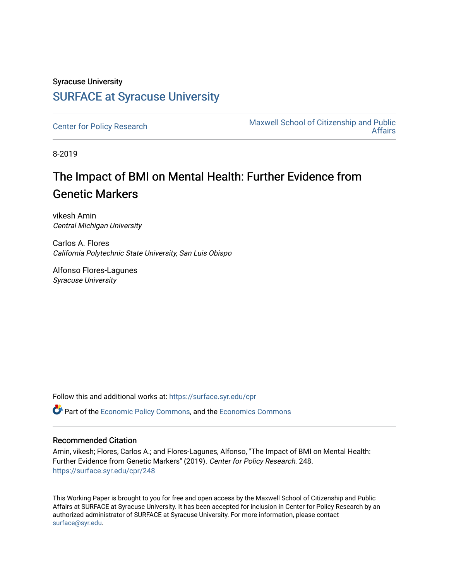# Syracuse University [SURFACE at Syracuse University](https://surface.syr.edu/)

[Center for Policy Research](https://surface.syr.edu/cpr) Maxwell School of Citizenship and Public [Affairs](https://surface.syr.edu/maxwell) 

8-2019

# The Impact of BMI on Mental Health: Further Evidence from Genetic Markers

vikesh Amin Central Michigan University

Carlos A. Flores California Polytechnic State University, San Luis Obispo

Alfonso Flores-Lagunes Syracuse University

Follow this and additional works at: [https://surface.syr.edu/cpr](https://surface.syr.edu/cpr?utm_source=surface.syr.edu%2Fcpr%2F248&utm_medium=PDF&utm_campaign=PDFCoverPages) 

**C** Part of the [Economic Policy Commons](http://network.bepress.com/hgg/discipline/1025?utm_source=surface.syr.edu%2Fcpr%2F248&utm_medium=PDF&utm_campaign=PDFCoverPages), and the [Economics Commons](http://network.bepress.com/hgg/discipline/340?utm_source=surface.syr.edu%2Fcpr%2F248&utm_medium=PDF&utm_campaign=PDFCoverPages)

# Recommended Citation

Amin, vikesh; Flores, Carlos A.; and Flores-Lagunes, Alfonso, "The Impact of BMI on Mental Health: Further Evidence from Genetic Markers" (2019). Center for Policy Research. 248. [https://surface.syr.edu/cpr/248](https://surface.syr.edu/cpr/248?utm_source=surface.syr.edu%2Fcpr%2F248&utm_medium=PDF&utm_campaign=PDFCoverPages) 

This Working Paper is brought to you for free and open access by the Maxwell School of Citizenship and Public Affairs at SURFACE at Syracuse University. It has been accepted for inclusion in Center for Policy Research by an authorized administrator of SURFACE at Syracuse University. For more information, please contact [surface@syr.edu.](mailto:surface@syr.edu)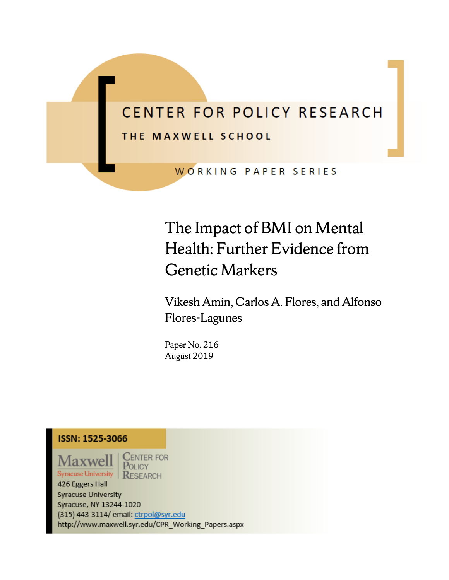# CENTER FOR POLICY RESEARCH THE MAXWELL SCHOOL

WORKING PAPER SERIES

# The Impact of BMI on Mental Health: Further Evidence from Genetic Markers

Vikesh Amin, Carlos A. Flores, and Alfonso Flores-Lagunes

Paper No. 216 August 2019

# **ISSN: 1525-3066**

Maxwel Syracuse University

**CENTER FOR** POLICY **RESEARCH** 

426 Eggers Hall Syracuse University Syracuse, NY 13244-1020 (315) 443-3114/ email: ctrpol@syr.edu http://www.maxwell.syr.edu/CPR\_Working\_Papers.aspx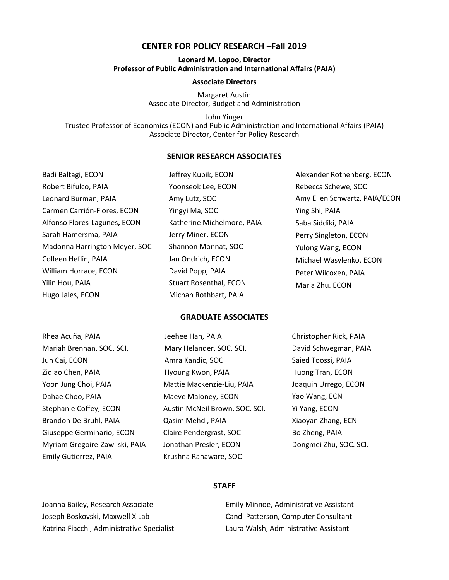# **CENTER FOR POLICY RESEARCH –Fall 2019**

#### **Leonard M. Lopoo, Director Professor of Public Administration and International Affairs (PAIA)**

#### **Associate Directors**

Margaret Austin Associate Director, Budget and Administration

John Yinger Trustee Professor of Economics (ECON) and Public Administration and International Affairs (PAIA) Associate Director, Center for Policy Research

# **SENIOR RESEARCH ASSOCIATES**

| Badi Baltagi, ECON            | Jeffrey Kubik, ECON           | Alexander Rothenberg, ECON    |
|-------------------------------|-------------------------------|-------------------------------|
| Robert Bifulco, PAIA          | Yoonseok Lee, ECON            | Rebecca Schewe, SOC           |
| Leonard Burman, PAIA          | Amy Lutz, SOC                 | Amy Ellen Schwartz, PAIA/ECON |
| Carmen Carrión-Flores, ECON   | Yingyi Ma, SOC                | Ying Shi, PAIA                |
| Alfonso Flores-Lagunes, ECON  | Katherine Michelmore, PAIA    | Saba Siddiki, PAIA            |
| Sarah Hamersma, PAIA          | Jerry Miner, ECON             | Perry Singleton, ECON         |
| Madonna Harrington Meyer, SOC | Shannon Monnat, SOC           | Yulong Wang, ECON             |
| Colleen Heflin, PAIA          | Jan Ondrich, ECON             | Michael Wasylenko, ECON       |
| William Horrace, ECON         | David Popp, PAIA              | Peter Wilcoxen, PAIA          |
| Yilin Hou, PAIA               | <b>Stuart Rosenthal, ECON</b> | Maria Zhu. ECON               |
| Hugo Jales, ECON              | Michah Rothbart, PAIA         |                               |

#### **GRADUATE ASSOCIATES**

| Rhea Acuña, PAIA               | Jeehee Han, PAIA               | Christopher Rick, PAIA |
|--------------------------------|--------------------------------|------------------------|
| Mariah Brennan, SOC. SCI.      | Mary Helander, SOC. SCI.       | David Schwegman, PAIA  |
| Jun Cai, ECON                  | Amra Kandic, SOC               | Saied Toossi, PAIA     |
| Zigiao Chen, PAIA              | Hyoung Kwon, PAIA              | Huong Tran, ECON       |
| Yoon Jung Choi, PAIA           | Mattie Mackenzie-Liu, PAIA     | Joaquin Urrego, ECON   |
| Dahae Choo, PAIA               | Maeve Maloney, ECON            | Yao Wang, ECN          |
| Stephanie Coffey, ECON         | Austin McNeil Brown, SOC. SCI. | Yi Yang, ECON          |
| Brandon De Bruhl, PAIA         | Qasim Mehdi, PAIA              | Xiaoyan Zhang, ECN     |
| Giuseppe Germinario, ECON      | Claire Pendergrast, SOC        | Bo Zheng, PAIA         |
| Myriam Gregoire-Zawilski, PAIA | Jonathan Presler, ECON         | Dongmei Zhu, SOC. SCI. |
| Emily Gutierrez, PAIA          | Krushna Ranaware, SOC          |                        |

#### **STAFF**

Joanna Bailey, Research Associate Joseph Boskovski, Maxwell X Lab Katrina Fiacchi, Administrative Specialist Emily Minnoe, Administrative Assistant Candi Patterson, Computer Consultant Laura Walsh, Administrative Assistant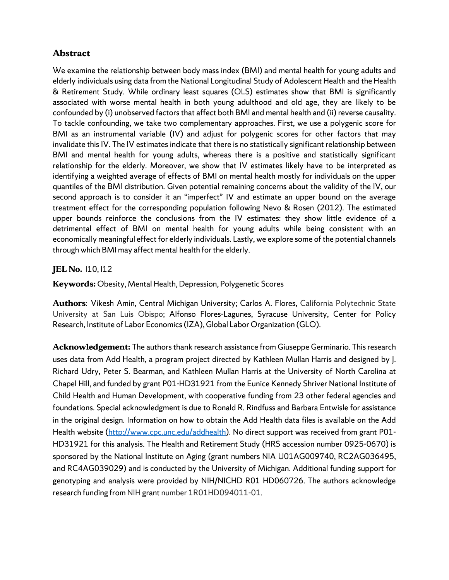# **Abstract**

We examine the relationship between body mass index (BMI) and mental health for young adults and elderly individuals using data from the National Longitudinal Study of Adolescent Health and the Health & Retirement Study. While ordinary least squares (OLS) estimates show that BMI is significantly associated with worse mental health in both young adulthood and old age, they are likely to be confounded by (i) unobserved factors that affect both BMI and mental health and (ii) reverse causality. To tackle confounding, we take two complementary approaches. First, we use a polygenic score for BMI as an instrumental variable (IV) and adjust for polygenic scores for other factors that may invalidate this IV. The IV estimates indicate that there is no statistically significant relationship between BMI and mental health for young adults, whereas there is a positive and statistically significant relationship for the elderly. Moreover, we show that IV estimates likely have to be interpreted as identifying a weighted average of effects of BMI on mental health mostly for individuals on the upper quantiles of the BMI distribution. Given potential remaining concerns about the validity of the IV, our second approach is to consider it an "imperfect" IV and estimate an upper bound on the average treatment effect for the corresponding population following Nevo & Rosen (2012). The estimated upper bounds reinforce the conclusions from the IV estimates: they show little evidence of a detrimental effect of BMI on mental health for young adults while being consistent with an economically meaningful effect for elderly individuals. Lastly, we explore some of the potential channels through which BMI may affect mental health for the elderly.

# **JEL No.** 110, 112

**Keywords:** Obesity, Mental Health, Depression, Polygenetic Scores

**Authors**: Vikesh Amin, Central Michigan University; Carlos A. Flores, California Polytechnic State University at San Luis Obispo; Alfonso Flores-Lagunes, Syracuse University, Center for Policy Research, Institute of Labor Economics (IZA),Global Labor Organization (GLO).

**Acknowledgement:** The authors thank research assistance from Giuseppe Germinario. This research uses data from Add Health, a program project directed by Kathleen Mullan Harris and designed by J. Richard Udry, Peter S. Bearman, and Kathleen Mullan Harris at the University of North Carolina at Chapel Hill, and funded by grant P01-HD31921 from the Eunice Kennedy Shriver National Institute of Child Health and Human Development, with cooperative funding from 23 other federal agencies and foundations. Special acknowledgment is due to Ronald R. Rindfuss and Barbara Entwisle for assistance in the original d[esign. Information on how to obtain](http://www.cpc.unc.edu/addhealth) the Add Health data files is available on the Add Health website (http://www.cpc.unc.edu/addhealth). No direct support was received from grant P01- HD31921 for this analysis. The Health and Retirement Study (HRS accession number 0925-0670) is sponsored by the National Institute on Aging (grant numbers NIA U01AG009740, RC2AG036495, and RC4AG039029) and is conducted by the University of Michigan. Additional funding support for genotyping and analysis were provided by NIH/NICHD R01 HD060726. The authors acknowledge research funding from NIH grant number 1R01HD094011-01.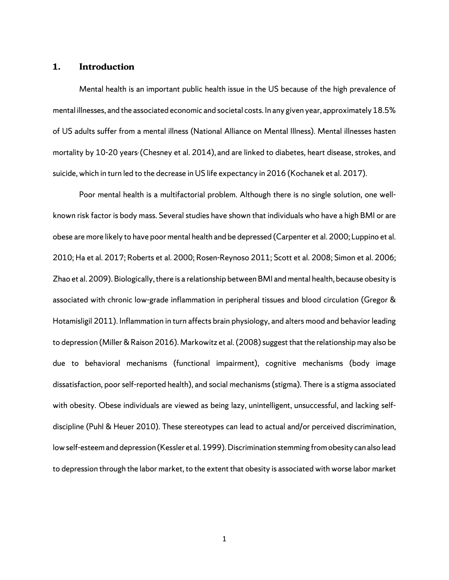# **1. Introduction**

Mental health is an important public health issue in the US because of the high prevalence of mental illnesses, and the associated economic and societal costs. In any given year, approximately 18.5% of US adults suffer from a mental illness (National Alliance on Mental Illness). Mental illnesses hasten mortality by 10-20 years, (Chesney et al. 2014), and are linked to diabetes, heart disease, strokes, and suicide, which in turn led to the decrease in US life expectancy in 2016 (Kochanek et al. 2017).

Poor mental health is a multifactorial problem. Although there is no single solution, one wellknown risk factor is body mass. Several studies have shown that individuals who have a high BMI or are obese are more likely to have poor mental health and be depressed (Carpenter et al. 2000; Luppino et al. 2010; Ha et al. 2017; Roberts et al. 2000; Rosen-Reynoso 2011; Scott et al. 2008; Simon et al. 2006; Zhao et al. 2009). Biologically, there is a relationship between BMI and mental health, because obesity is associated with chronic low-grade inflammation in peripheral tissues and blood circulation (Gregor & Hotamisligil 2011). Inflammation in turn affects brain physiology, and alters mood and behavior leading to depression (Miller & Raison 2016). Markowitz et al. (2008) suggest that the relationship may also be due to behavioral mechanisms (functional impairment), cognitive mechanisms (body image dissatisfaction, poor self-reported health), and social mechanisms (stigma). There is a stigma associated with obesity. Obese individuals are viewed as being lazy, unintelligent, unsuccessful, and lacking selfdiscipline (Puhl & Heuer 2010). These stereotypes can lead to actual and/or perceived discrimination, low self-esteem and depression (Kessler et al. 1999). Discrimination stemming from obesity can also lead to depression through the labor market, to the extent that obesity is associated with worse labor market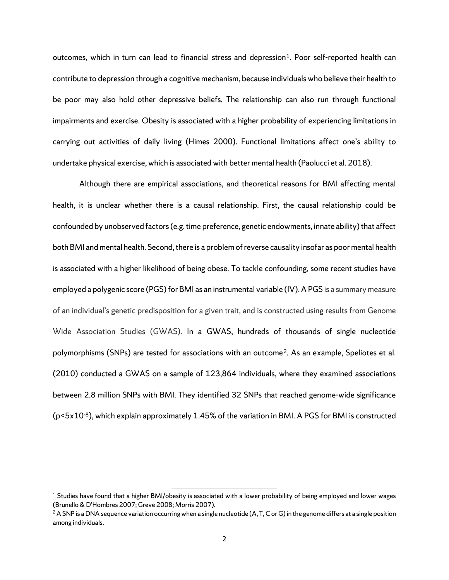outcomes, which in turn can lead to financial stress and depression<sup>[1](#page-27-0)</sup>. Poor self-reported health can contribute to depression through a cognitive mechanism, because individuals who believe their health to be poor may also hold other depressive beliefs. The relationship can also run through functional impairments and exercise. Obesity is associated with a higher probability of experiencing limitations in carrying out activities of daily living (Himes 2000). Functional limitations affect one's ability to undertake physical exercise, which is associated with better mental health (Paolucci et al. 2018).

Although there are empirical associations, and theoretical reasons for BMI affecting mental health, it is unclear whether there is a causal relationship. First, the causal relationship could be confounded by unobserved factors (e.g. time preference, genetic endowments, innate ability) that affect both BMI and mental health. Second, there is a problem of reverse causality insofar as poor mental health is associated with a higher likelihood of being obese. To tackle confounding, some recent studies have employed a polygenic score (PGS) for BMI as an instrumental variable (IV). A PGS is a summary measure of an individual's genetic predisposition for a given trait, and is constructed using results from Genome Wide Association Studies (GWAS). In a GWAS, hundreds of thousands of single nucleotide polymorphisms (SNPs) are tested for associations with an outcome<sup>[2](#page-5-0)</sup>. As an example, Speliotes et al. (2010) conducted a GWAS on a sample of 123,864 individuals, where they examined associations between 2.8 million SNPs with BMI. They identified 32 SNPs that reached genome-wide significance  $(p<sub>5x10-8</sub>)$ , which explain approximately 1.45% of the variation in BMI. A PGS for BMI is constructed

 $\overline{a}$ 

<sup>&</sup>lt;sup>1</sup> Studies have found that a higher BMI/obesity is associated with a lower probability of being employed and lower wages (Brunello & D'Hombres 2007; Greve 2008; Morris 2007).

<span id="page-5-0"></span><sup>&</sup>lt;sup>2</sup> A SNP is a DNA sequence variation occurring when a single nucleotide (A, T, C or G) in the genome differs at a single position among individuals.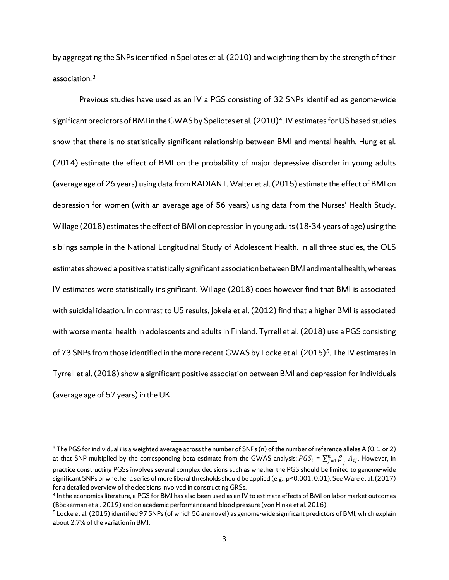by aggregating the SNPs identified in Speliotes et al. (2010) and weighting them by the strength of their association.[3](#page-6-0)

Previous studies have used as an IV a PGS consisting of 32 SNPs identified as genome-wide significant predictors of BMI in the GWAS by Speliotes et al. (2010)<sup>[4](#page-6-1)</sup>. IV estimates for US based studies show that there is no statistically significant relationship between BMI and mental health. Hung et al. (2014) estimate the effect of BMI on the probability of major depressive disorder in young adults (average age of 26 years) using data from RADIANT. Walter et al. (2015) estimate the effect of BMI on depression for women (with an average age of 56 years) using data from the Nurses' Health Study. Willage (2018) estimates the effect of BMI on depression in young adults (18-34 years of age) using the siblings sample in the National Longitudinal Study of Adolescent Health. In all three studies, the OLS estimates showed a positive statistically significant association between BMI and mental health, whereas IV estimates were statistically insignificant. Willage (2018) does however find that BMI is associated with suicidal ideation. In contrast to US results, Jokela et al. (2012) find that a higher BMI is associated with worse mental health in adolescents and adults in Finland. Tyrrell et al. (2018) use a PGS consisting of 73 SNPs from those identified in the more recent GWAS by Locke et al. (2015)<sup>5</sup>. The IV estimates in Tyrrell et al. (2018) show a significant positive association between BMI and depression for individuals (average age of 57 years) in the UK.

 $\overline{\phantom{a}}$ 

<span id="page-6-0"></span><sup>3</sup> The PGS for individual *i* is a weighted average across the number of SNPs (n) of the number of reference alleles A (0, 1 or 2) at that SNP multiplied by the corresponding beta estimate from the GWAS analysis:  $PGS_i$  =  $\sum_{j=1}^n\beta_j$   $A_{ij}.$  However, in practice constructing PGSs involves several complex decisions such as whether the PGS should be limited to genome-wide significant SNPs or whether a series of more liberal thresholds should be applied (e.g., p<0.001, 0.01). See Ware et al. (2017) for a detailed overview of the decisions involved in constructing GRSs.<br><sup>4</sup> In the economics literature, a PGS for BMI has also been used as an IV to estimate effects of BMI on labor market outcomes

<span id="page-6-1"></span><sup>(</sup>Böckerman et al. 2019) and on academic performance and blood pressure (von Hinke et al. 2016).

<span id="page-6-2"></span><sup>&</sup>lt;sup>5</sup> Locke et al. (2015) identified 97 SNPs (of which 56 are novel) as genome-wide significant predictors of BMI, which explain about 2.7% of the variation in BMI.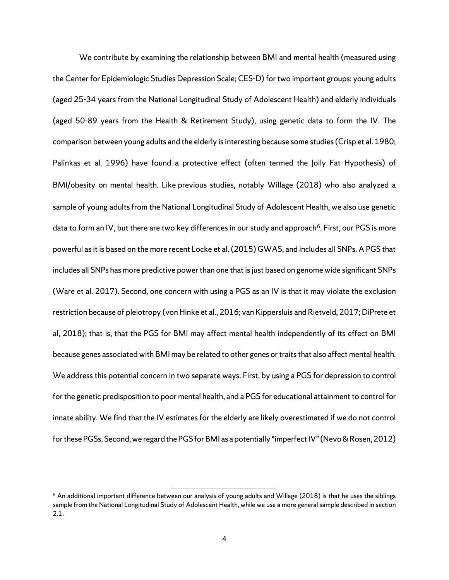We contribute by examining the relationship between BMI and mental health (measured using the Center for Epidemiologic Studies Depression Scale; CES-D) for two important groups: young adults (aged 25-34 years from the National Longitudinal Study of Adolescent Health) and elderly individuals (aged 50-89 years from the Health & Retirement Study), using genetic data to form the IV. The comparison between young adults and the elderly is interesting because some studies (Crisp et al. 1980; Palinkas et al. 1996) have found a protective effect (often termed the Jolly Fat Hypothesis) of BMI/obesity on mental health. Like previous studies, notably Willage (2018) who also analyzed a sample of young adults from the National Longitudinal Study of Adolescent Health, we also use genetic data to form an IV, but there are two key differences in our study and approach<sup>6</sup>. First, our PGS is more powerful as it is based on the more recent Locke et al. (2015) GWAS, and includes all SNPs. A PGS that includes all SNPs has more predictive power than one that is just based on genome wide significant SNPs (Ware et al. 2017). Second, one concern with using a PGS as an IV is that it may violate the exclusion restriction because of pleiotropy (von Hinke et al., 2016; van Kippersluis and Rietveld, 2017; DiPrete et al, 2018); that is, that the PGS for BMI may affect mental health independently of its effect on BMI because genes associated with BMI may be related to other genes or traits that also affect mental health. We address this potential concern in two separate ways. First, by using a PGS for depression to control for the genetic predisposition to poor mental health, and a PGS for educational attainment to control for innate ability. We find that the IV estimates for the elderly are likely overestimated if we do not control for these PGSs. Second, we regard the PGS for BMI as a potentially "imperfect IV" (Nevo & Rosen, 2012)

 $\overline{a}$ 

<span id="page-7-0"></span> $6$  An additional important difference between our analysis of young adults and Willage (2018) is that he uses the siblings sample from the National Longitudinal Study of Adolescent Health, while we use a more general sample described in section 2.1.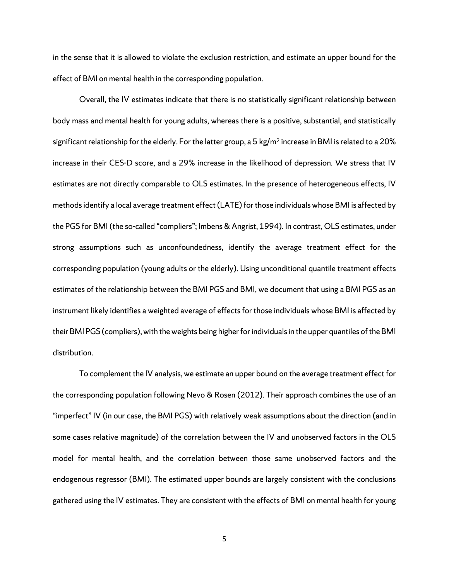in the sense that it is allowed to violate the exclusion restriction, and estimate an upper bound for the effect of BMI on mental health in the corresponding population.

Overall, the IV estimates indicate that there is no statistically significant relationship between body mass and mental health for young adults, whereas there is a positive, substantial, and statistically significant relationship for the elderly. For the latter group, a 5 kg/m<sup>2</sup> increase in BMI is related to a 20% increase in their CES-D score, and a 29% increase in the likelihood of depression. We stress that IV estimates are not directly comparable to OLS estimates. In the presence of heterogeneous effects, IV methods identify a local average treatment effect (LATE) for those individuals whose BMI is affected by the PGS for BMI (the so-called "compliers"; Imbens & Angrist, 1994). In contrast, OLS estimates, under strong assumptions such as unconfoundedness, identify the average treatment effect for the corresponding population (young adults or the elderly). Using unconditional quantile treatment effects estimates of the relationship between the BMI PGS and BMI, we document that using a BMI PGS as an instrument likely identifies a weighted average of effects for those individuals whose BMI is affected by their BMI PGS (compliers), with the weights being higher for individuals in the upper quantiles of the BMI distribution.

To complement the IV analysis, we estimate an upper bound on the average treatment effect for the corresponding population following Nevo & Rosen (2012). Their approach combines the use of an "imperfect" IV (in our case, the BMI PGS) with relatively weak assumptions about the direction (and in some cases relative magnitude) of the correlation between the IV and unobserved factors in the OLS model for mental health, and the correlation between those same unobserved factors and the endogenous regressor (BMI). The estimated upper bounds are largely consistent with the conclusions gathered using the IV estimates. They are consistent with the effects of BMI on mental health for young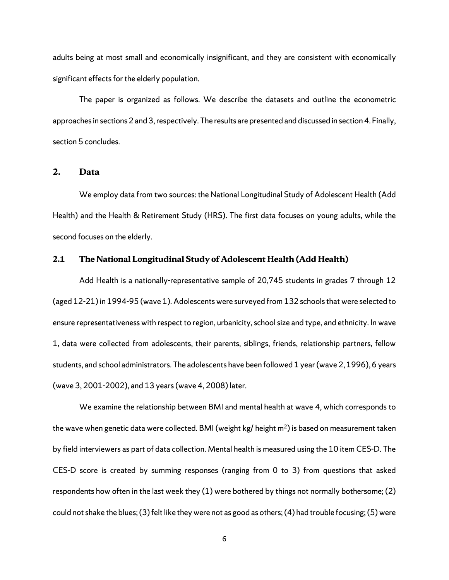adults being at most small and economically insignificant, and they are consistent with economically significant effects for the elderly population.

The paper is organized as follows. We describe the datasets and outline the econometric approaches in sections 2 and 3, respectively. The results are presented and discussed in section 4. Finally, section 5 concludes.

### **2. Data**

We employ data from two sources: the National Longitudinal Study of Adolescent Health (Add Health) and the Health & Retirement Study (HRS). The first data focuses on young adults, while the second focuses on the elderly.

#### **2.1 The National Longitudinal Study of Adolescent Health (Add Health)**

Add Health is a nationally-representative sample of 20,745 students in grades 7 through 12 (aged 12-21) in 1994-95 (wave 1). Adolescents were surveyed from 132 schools that were selected to ensure representativeness with respect to region, urbanicity, school size and type, and ethnicity. In wave 1, data were collected from adolescents, their parents, siblings, friends, relationship partners, fellow students, and school administrators. The adolescents have been followed 1 year (wave 2, 1996), 6 years (wave 3, 2001-2002), and 13 years (wave 4, 2008) later.

We examine the relationship between BMI and mental health at wave 4, which corresponds to the wave when genetic data were collected. BMI (weight kg/ height  $m<sup>2</sup>$ ) is based on measurement taken by field interviewers as part of data collection. Mental health is measured using the 10 item CES-D. The CES-D score is created by summing responses (ranging from 0 to 3) from questions that asked respondents how often in the last week they (1) were bothered by things not normally bothersome; (2) could not shake the blues; (3) felt like they were not as good as others; (4) had trouble focusing; (5) were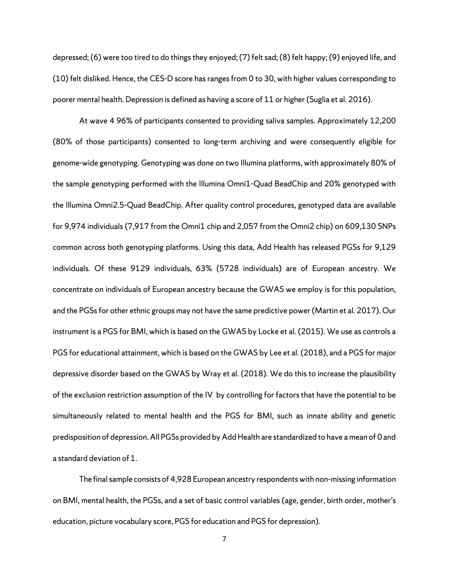depressed; (6) were too tired to do things they enjoyed; (7) felt sad; (8) felt happy; (9) enjoyed life, and (10) felt disliked. Hence, the CES-D score has ranges from 0 to 30, with higher values corresponding to poorer mental health. Depression is defined as having a score of 11 or higher (Suglia et al. 2016).

At wave 4 96% of participants consented to providing saliva samples. Approximately 12,200 (80% of those participants) consented to long-term archiving and were consequently eligible for genome-wide genotyping. Genotyping was done on two Illumina platforms, with approximately 80% of the sample genotyping performed with the Illumina Omni1-Quad BeadChip and 20% genotyped with the Illumina Omni2.5-Quad BeadChip. After quality control procedures, genotyped data are available for 9,974 individuals (7,917 from the Omni1 chip and 2,057 from the Omni2 chip) on 609,130 SNPs common across both genotyping platforms. Using this data, Add Health has released PGSs for 9,129 individuals. Of these 9129 individuals, 63% (5728 individuals) are of European ancestry. We concentrate on individuals of European ancestry because the GWAS we employ is for this population, and the PGSs for other ethnic groups may not have the same predictive power (Martin et al. 2017). Our instrument is a PGS for BMI, which is based on the GWAS by Locke et al. (2015). We use as controls a PGS for educational attainment, which is based on the GWAS by Lee et al. (2018), and a PGS for major depressive disorder based on the GWAS by Wray et al. (2018). We do this to increase the plausibility of the exclusion restriction assumption of the IV by controlling for factors that have the potential to be simultaneously related to mental health and the PGS for BMI, such as innate ability and genetic predisposition of depression. All PGSs provided by Add Health are standardized to have a mean of 0 and a standard deviation of 1.

The final sample consists of 4,928 European ancestry respondents with non-missing information on BMI, mental health, the PGSs, and a set of basic control variables (age, gender, birth order, mother's education, picture vocabulary score, PGS for education and PGS for depression).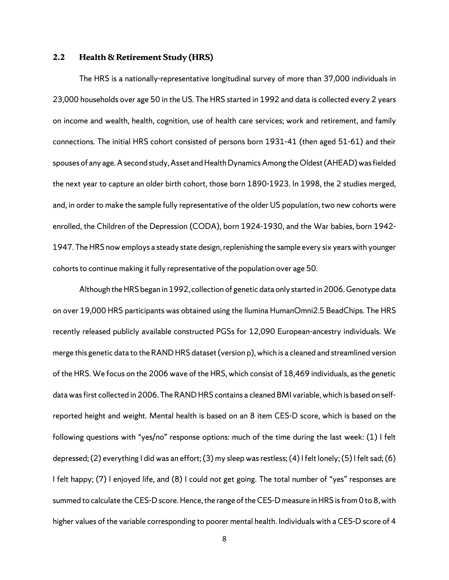#### **2.2 Health & Retirement Study (HRS)**

The HRS is a nationally-representative longitudinal survey of more than 37,000 individuals in 23,000 households over age 50 in the US. The HRS started in 1992 and data is collected every 2 years on income and wealth, health, cognition, use of health care services; work and retirement, and family connections. The initial HRS cohort consisted of persons born 1931-41 (then aged 51-61) and their spouses of any age. A second study, Asset and Health Dynamics Among the Oldest (AHEAD) was fielded the next year to capture an older birth cohort, those born 1890-1923. In 1998, the 2 studies merged, and, in order to make the sample fully representative of the older US population, two new cohorts were enrolled, the Children of the Depression (CODA), born 1924-1930, and the War babies, born 1942- 1947. The HRS now employs a steady state design, replenishing the sample every six years with younger cohorts to continue making it fully representative of the population over age 50.

Although the HRS began in 1992, collection of genetic data only started in 2006. Genotype data on over 19,000 HRS participants was obtained using the llumina HumanOmni2.5 BeadChips. The HRS recently released publicly available constructed PGSs for 12,090 European-ancestry individuals. We merge this genetic data to the RAND HRS dataset (version p), which is a cleaned and streamlined version of the HRS. We focus on the 2006 wave of the HRS, which consist of 18,469 individuals, as the genetic data was first collected in 2006. The RAND HRS contains a cleaned BMI variable, which is based on selfreported height and weight. Mental health is based on an 8 item CES-D score, which is based on the following questions with "yes/no" response options: much of the time during the last week: (1) I felt depressed; (2) everything I did was an effort; (3) my sleep was restless; (4) I felt lonely; (5) I felt sad; (6) I felt happy; (7) I enjoyed life, and (8) I could not get going. The total number of "yes" responses are summed to calculate the CES-D score. Hence, the range of the CES-D measure in HRS is from 0 to 8, with higher values of the variable corresponding to poorer mental health. Individuals with a CES-D score of 4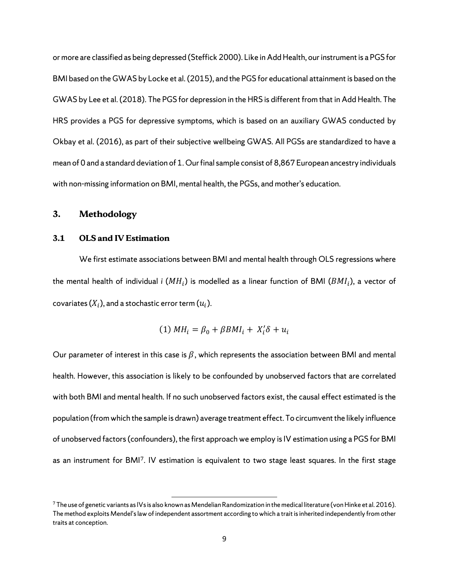or more are classified as being depressed (Steffick 2000). Like in Add Health, our instrument is a PGS for BMI based on the GWAS by Locke et al. (2015), and the PGS for educational attainment is based on the GWAS by Lee et al. (2018). The PGS for depression in the HRS is different from that in Add Health. The HRS provides a PGS for depressive symptoms, which is based on an auxiliary GWAS conducted by Okbay et al. (2016), as part of their subjective wellbeing GWAS. All PGSs are standardized to have a mean of 0 and a standard deviation of 1. Our final sample consist of 8,867 European ancestry individuals with non-missing information on BMI, mental health, the PGSs, and mother's education.

#### **3. Methodology**

#### **3.1 OLS and IV Estimation**

We first estimate associations between BMI and mental health through OLS regressions where the mental health of individual *i* ( $MH<sub>i</sub>$ ) is modelled as a linear function of BMI ( $BMI<sub>i</sub>$ ), a vector of covariates  $(X_i)$ , and a stochastic error term  $(u_i)$ .

$$
(1) MH_i = \beta_0 + \beta BMI_i + X'_i \delta + u_i
$$

Our parameter of interest in this case is  $\beta$ , which represents the association between BMI and mental health. However, this association is likely to be confounded by unobserved factors that are correlated with both BMI and mental health. If no such unobserved factors exist, the causal effect estimated is the population (from which the sample is drawn) average treatment effect. To circumvent the likely influence of unobserved factors (confounders), the first approach we employ is IV estimation using a PGS for BMI as an instrument for BMI[7](#page-12-0). IV estimation is equivalent to two stage least squares. In the first stage

 $\overline{a}$ 

<span id="page-12-0"></span> $7$  The use of genetic variants as IVs is also known as Mendelian Randomization in the medical literature (von Hinke et al. 2016). The method exploits Mendel's law of independent assortment according to which a trait is inherited independently from other traits at conception.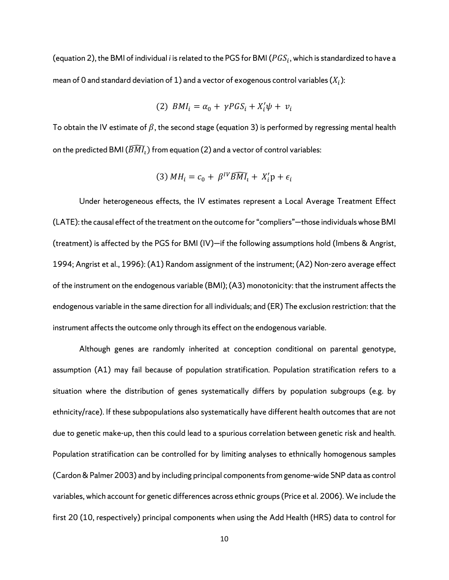(equation 2), the BMI of individual *i* is related to the PGS for BMI ( $PGS_i$ , which is standardized to have a mean of 0 and standard deviation of 1) and a vector of exogenous control variables  $(X_i)$ :

$$
(2) \, \, BMI_i = \alpha_0 + \gamma PGS_i + X_i'\psi + v_i
$$

To obtain the IV estimate of  $\beta$ , the second stage (equation 3) is performed by regressing mental health on the predicted BMI ( $\widehat{BMI}_1$ ) from equation (2) and a vector of control variables:

$$
(3) MH_i = c_0 + \beta^{IV} \overline{BMI}_i + X_i' \mathbf{p} + \epsilon_i
$$

Under heterogeneous effects, the IV estimates represent a Local Average Treatment Effect (LATE): the causal effect of the treatment on the outcome for "compliers"—those individuals whose BMI (treatment) is affected by the PGS for BMI (IV)—if the following assumptions hold (Imbens & Angrist, 1994; Angrist et al., 1996): (A1) Random assignment of the instrument; (A2) Non-zero average effect of the instrument on the endogenous variable (BMI); (A3) monotonicity: that the instrument affects the endogenous variable in the same direction for all individuals; and (ER) The exclusion restriction: that the instrument affects the outcome only through its effect on the endogenous variable.

Although genes are randomly inherited at conception conditional on parental genotype, assumption (A1) may fail because of population stratification. Population stratification refers to a situation where the distribution of genes systematically differs by population subgroups (e.g. by ethnicity/race). If these subpopulations also systematically have different health outcomes that are not due to genetic make-up, then this could lead to a spurious correlation between genetic risk and health. Population stratification can be controlled for by limiting analyses to ethnically homogenous samples (Cardon & Palmer 2003) and by including principal components from genome-wide SNP data as control variables, which account for genetic differences across ethnic groups (Price et al. 2006). We include the first 20 (10, respectively) principal components when using the Add Health (HRS) data to control for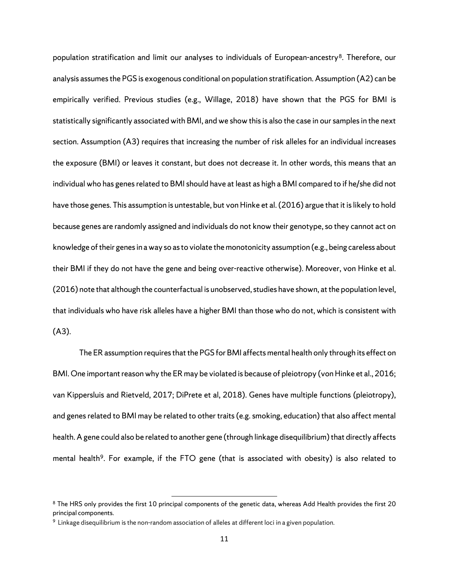population stratification and limit our analyses to individuals of European-ancestry<sup>[8](#page-14-0)</sup>. Therefore, our analysis assumes the PGS is exogenous conditional on population stratification. Assumption (A2) can be empirically verified. Previous studies (e.g., Willage, 2018) have shown that the PGS for BMI is statistically significantly associated with BMI, and we show this is also the case in our samples in the next section. Assumption (A3) requires that increasing the number of risk alleles for an individual increases the exposure (BMI) or leaves it constant, but does not decrease it. In other words, this means that an individual who has genes related to BMI should have at least as high a BMI compared to if he/she did not have those genes. This assumption is untestable, but von Hinke et al. (2016) argue that it is likely to hold because genes are randomly assigned and individuals do not know their genotype, so they cannot act on knowledge of their genes in a way so as to violate the monotonicity assumption (e.g., being careless about their BMI if they do not have the gene and being over-reactive otherwise). Moreover, von Hinke et al. (2016) note that although the counterfactual is unobserved, studies have shown, at the population level, that individuals who have risk alleles have a higher BMI than those who do not, which is consistent with (A3).

The ER assumption requires that the PGS for BMI affects mental health only through its effect on BMI. One important reason why the ER may be violated is because of pleiotropy (von Hinke et al., 2016; van Kippersluis and Rietveld, 2017; DiPrete et al, 2018). Genes have multiple functions (pleiotropy), and genes related to BMI may be related to other traits (e.g. smoking, education) that also affect mental health. Agene could also be related to another gene (through linkage disequilibrium) that directly affects mental health<sup>[9](#page-14-1)</sup>. For example, if the FTO gene (that is associated with obesity) is also related to

l

<span id="page-14-0"></span><sup>&</sup>lt;sup>8</sup> The HRS only provides the first 10 principal components of the genetic data, whereas Add Health provides the first 20 principal components.

<span id="page-14-1"></span><sup>9</sup> Linkage disequilibrium is the non-random association of alleles at different loci in a given population.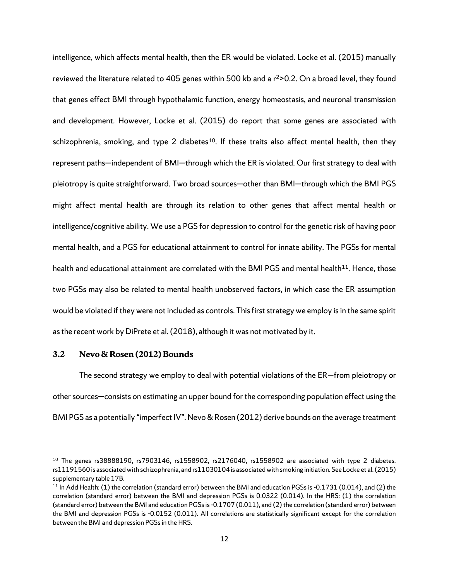intelligence, which affects mental health, then the ER would be violated. Locke et al. (2015) manually reviewed the literature related to 405 genes within 500 kb and a  $r^2 > 0.2$ . On a broad level, they found that genes effect BMI through hypothalamic function, energy homeostasis, and neuronal transmission and development. However, Locke et al. (2015) do report that some genes are associated with schizophrenia, smoking, and type 2 diabetes<sup>10</sup>. If these traits also affect mental health, then they represent paths—independent of BMI—through which the ER is violated. Our first strategy to deal with pleiotropy is quite straightforward. Two broad sources—other than BMI—through which the BMI PGS might affect mental health are through its relation to other genes that affect mental health or intelligence/cognitive ability. We use a PGS for depression to control for the genetic risk of having poor mental health, and a PGS for educational attainment to control for innate ability. The PGSs for mental health and educational attainment are correlated with the BMI PGS and mental health<sup>[11](#page-15-1)</sup>. Hence, those two PGSs may also be related to mental health unobserved factors, in which case the ER assumption would be violated if they were not included as controls. This first strategy we employ is in the same spirit as the recent work by DiPrete et al. (2018), although it was not motivated by it.

#### **3.2 Nevo & Rosen (2012) Bounds**

The second strategy we employ to deal with potential violations of the ER—from pleiotropy or other sources—consists on estimating an upper bound for the corresponding population effect using the BMI PGS as a potentially "imperfect IV". Nevo & Rosen (2012) derive bounds on the average treatment

 $\overline{a}$ 

<span id="page-15-0"></span> $10$  The genes rs38888190, rs7903146, rs1558902, rs2176040, rs1558902 are associated with type 2 diabetes. rs11191560 is associated with schizophrenia, and rs11030104 is associated with smoking initiation. See Locke et al. (2015) supplementary table 17B.

<span id="page-15-1"></span> $11$  In Add Health: (1) the correlation (standard error) between the BMI and education PGSs is -0.1731 (0.014), and (2) the correlation (standard error) between the BMI and depression PGSs is 0.0322 (0.014). In the HRS: (1) the correlation (standard error) between the BMI and education PGSs is -0.1707 (0.011), and (2) the correlation (standard error) between the BMI and depression PGSs is -0.0152 (0.011). All correlations are statistically significant except for the correlation between the BMI and depression PGSs in the HRS.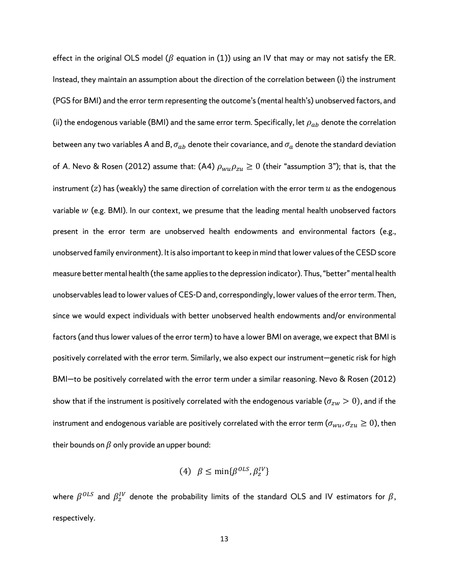effect in the original OLS model ( $\beta$  equation in (1)) using an IV that may or may not satisfy the ER. Instead, they maintain an assumption about the direction of the correlation between (i) the instrument (PGS for BMI) and the error term representing the outcome's (mental health's) unobserved factors, and (ii) the endogenous variable (BMI) and the same error term. Specifically, let  $\rho_{ab}$  denote the correlation between any two variables A and B,  $\sigma_{ab}$  denote their covariance, and  $\sigma_a$  denote the standard deviation of A. Nevo & Rosen (2012) assume that: (A4)  $\rho_{wu}\rho_{zu} \ge 0$  (their "assumption 3"); that is, that the instrument (z) has (weakly) the same direction of correlation with the error term  $u$  as the endogenous variable  $W$  (e.g. BMI). In our context, we presume that the leading mental health unobserved factors present in the error term are unobserved health endowments and environmental factors (e.g., unobserved family environment). It is also important to keep in mind that lower values of the CESD score measure better mental health (the same applies to the depression indicator). Thus, "better" mental health unobservables lead to lower values of CES-D and, correspondingly, lower values of the error term. Then, since we would expect individuals with better unobserved health endowments and/or environmental factors (and thus lower values of the error term) to have a lower BMI on average, we expect that BMI is positively correlated with the error term. Similarly, we also expect our instrument—genetic risk for high BMI—to be positively correlated with the error term under a similar reasoning. Nevo & Rosen (2012) show that if the instrument is positively correlated with the endogenous variable ( $\sigma_{zw} > 0$ ), and if the instrument and endogenous variable are positively correlated with the error term ( $\sigma_{wu}$ ,  $\sigma_{zu} \ge 0$ ), then their bounds on  $\beta$  only provide an upper bound:

(4) 
$$
\beta \le \min\{\beta^{OLS}, \beta_z^{IV}\}
$$

where  $\beta^{OLS}$  and  $\beta^{IV}_z$  denote the probability limits of the standard OLS and IV estimators for  $\beta,$ respectively.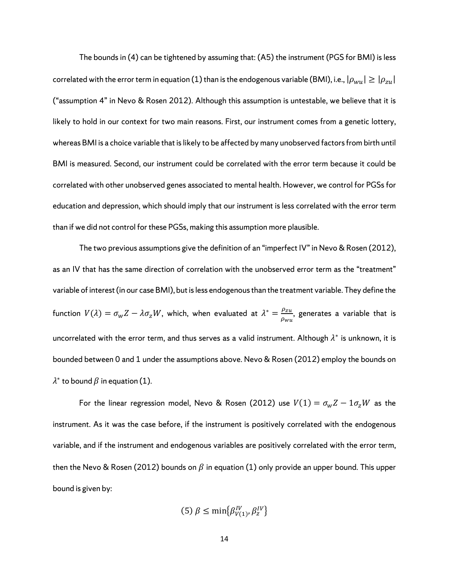The bounds in (4) can be tightened by assuming that: (A5) the instrument (PGS for BMI) is less correlated with the error term in equation (1) than is the endogenous variable (BMI), i.e.,  $|\rho_{wu}|\geq |\rho_{zu}|$ ("assumption 4" in Nevo & Rosen 2012). Although this assumption is untestable, we believe that it is likely to hold in our context for two main reasons. First, our instrument comes from a genetic lottery, whereas BMI is a choice variable that is likely to be affected by many unobserved factors from birth until BMI is measured. Second, our instrument could be correlated with the error term because it could be correlated with other unobserved genes associated to mental health. However, we control for PGSs for education and depression, which should imply that our instrument is less correlated with the error term than if we did not control for these PGSs, making this assumption more plausible.

The two previous assumptions give the definition of an "imperfect IV" in Nevo & Rosen (2012), as an IV that has the same direction of correlation with the unobserved error term as the "treatment" variable of interest (in our case BMI), but is less endogenous than the treatment variable. They define the function  $V(\lambda) = \sigma_w Z - \lambda \sigma_z W$ , which, when evaluated at  $\lambda^* = \frac{\rho_{zu}}{\rho_{wu}}$ , generates a variable that is uncorrelated with the error term, and thus serves as a valid instrument. Although  $\lambda^*$  is unknown, it is bounded between 0 and 1 under the assumptions above. Nevo & Rosen (2012) employ the bounds on  $\lambda^*$  to bound  $\beta$  in equation (1).

For the linear regression model, Nevo & Rosen (2012) use  $V(1) = \sigma_w Z - 1 \sigma_z W$  as the instrument. As it was the case before, if the instrument is positively correlated with the endogenous variable, and if the instrument and endogenous variables are positively correlated with the error term, then the Nevo & Rosen (2012) bounds on  $\beta$  in equation (1) only provide an upper bound. This upper bound is given by:

$$
(5) \beta \le \min\{\beta_{V(1)}^{IV}, \beta_{z}^{IV}\}\
$$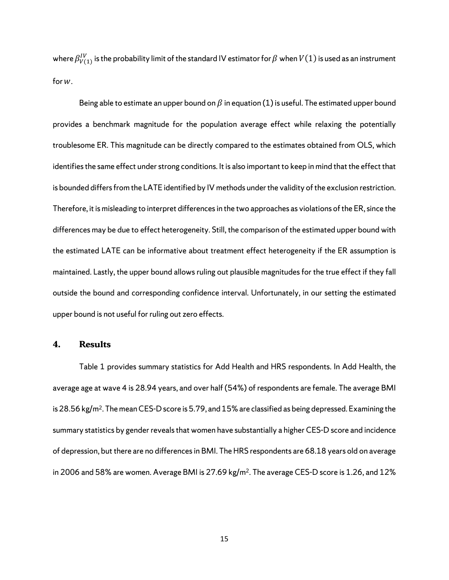where  $\beta^{IV}_{V(1)}$  is the probability limit of the standard IV estimator for  $\beta$  when  $V(1)$  is used as an instrument for  $W$ .

Being able to estimate an upper bound on  $\beta$  in equation (1) is useful. The estimated upper bound provides a benchmark magnitude for the population average effect while relaxing the potentially troublesome ER. This magnitude can be directly compared to the estimates obtained from OLS, which identifies the same effect under strong conditions. It is also important to keep in mind that the effect that is bounded differs from the LATE identified by IV methods under the validity of the exclusion restriction. Therefore, it is misleading to interpret differences in the two approaches as violations of the ER, since the differences may be due to effect heterogeneity. Still, the comparison of the estimated upper bound with the estimated LATE can be informative about treatment effect heterogeneity if the ER assumption is maintained. Lastly, the upper bound allows ruling out plausible magnitudes for the true effect if they fall outside the bound and corresponding confidence interval. Unfortunately, in our setting the estimated upper bound is not useful for ruling out zero effects.

#### **4. Results**

Table 1 provides summary statistics for Add Health and HRS respondents. In Add Health, the average age at wave 4 is 28.94 years, and over half (54%) of respondents are female. The average BMI is 28.56 kg/m<sup>2</sup>. The mean CES-D score is 5.79, and 15% are classified as being depressed. Examining the summary statistics by gender reveals that women have substantially a higher CES-D score and incidence of depression, but there are no differences in BMI. The HRS respondents are 68.18 years old on average in 2006 and 58% are women. Average BMI is 27.69 kg/m<sup>2</sup>. The average CES-D score is 1.26, and 12%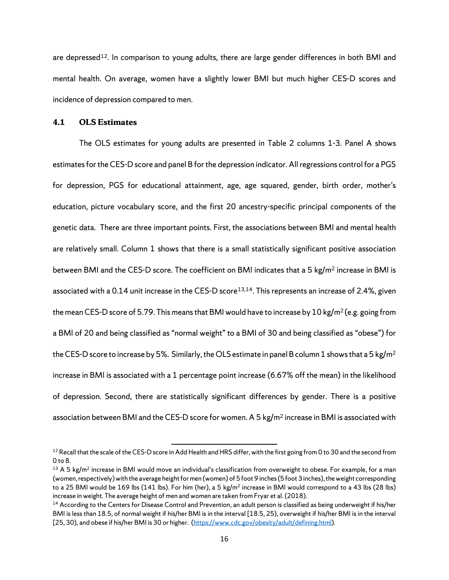are depressed<sup>12</sup>. In comparison to young adults, there are large gender differences in both BMI and mental health. On average, women have a slightly lower BMI but much higher CES-D scores and incidence of depression compared to men.

# **4.1 OLS Estimates**

The OLS estimates for young adults are presented in Table 2 columns 1-3. Panel A shows estimates for the CES-D score and panel B for the depression indicator. All regressions control for a PGS for depression, PGS for educational attainment, age, age squared, gender, birth order, mother's education, picture vocabulary score, and the first 20 ancestry-specific principal components of the genetic data. There are three important points. First, the associations between BMI and mental health are relatively small. Column 1 shows that there is a small statistically significant positive association between BMI and the CES-D score. The coefficient on BMI indicates that a 5 kg/m<sup>2</sup> increase in BMI is associated with a 0.14 unit increase in the CES-D score<sup>[13](#page-19-1),[14](#page-19-2)</sup>. This represents an increase of 2.4%, given the mean CES-D score of 5.79. This means that BMI would have to increase by 10 kg/m<sup>2</sup> (e.g. going from a BMI of 20 and being classified as "normal weight" to a BMI of 30 and being classified as "obese") for the CES-D score to increase by 5%. Similarly, the OLS estimate in panel B column 1 shows that a 5 kg/m<sup>2</sup> increase in BMI is associated with a 1 percentage point increase (6.67% off the mean) in the likelihood of depression. Second, there are statistically significant differences by gender. There is a positive association between BMI and the CES-D score for women. A 5 kg/m<sup>2</sup> increase in BMI is associated with

 $\overline{a}$ 

<span id="page-19-0"></span> $12$  Recall that the scale of the CES-D score in Add Health and HRS differ, with the first going from 0 to 30 and the second from 0 to 8.

<span id="page-19-1"></span> $13$  A 5 kg/m<sup>2</sup> increase in BMI would move an individual's classification from overweight to obese. For example, for a man (women, respectively) with the average height for men (women) of 5 foot 9 inches (5 foot 3 inches), the weight corresponding to a 25 BMI would be 169 lbs (141 lbs). For him (her), a 5 kg/m<sup>2</sup> increase in BMI would correspond to a 43 lbs (28 lbs) increase in weight. The average height of men and women are taken from Fryar et al. (2018).

<span id="page-19-2"></span><sup>&</sup>lt;sup>14</sup> According to the Centers for Disease Control and Prevention, an adult person is classified as being underweight if his/her BMI is less than 18.5, of normal weight if his/her BMI is in the interval [18.5, 25), overweight if his/her BMI is in the interval [25, 30), and obese if his/her BMI is 30 or higher. [\(https://www.cdc.gov/obesity/adult/defining.html\)](https://www.cdc.gov/obesity/adult/defining.html).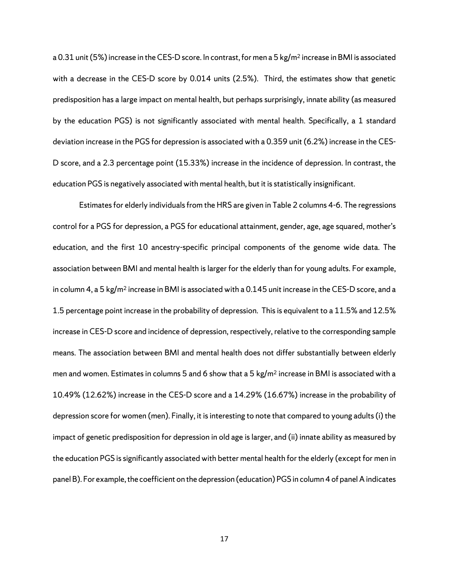a 0.31 unit (5%) increase in the CES-D score. In contrast, for men a 5 kg/m<sup>2</sup> increase in BMI is associated with a decrease in the CES-D score by 0.014 units (2.5%). Third, the estimates show that genetic predisposition has a large impact on mental health, but perhaps surprisingly, innate ability (as measured by the education PGS) is not significantly associated with mental health. Specifically, a 1 standard deviation increase in the PGS for depression is associated with a 0.359 unit (6.2%) increase in the CES-D score, and a 2.3 percentage point (15.33%) increase in the incidence of depression. In contrast, the education PGS is negatively associated with mental health, but it is statistically insignificant.

Estimates for elderly individuals from the HRS are given in Table 2 columns 4-6. The regressions control for a PGS for depression, a PGS for educational attainment, gender, age, age squared, mother's education, and the first 10 ancestry-specific principal components of the genome wide data. The association between BMI and mental health is larger for the elderly than for young adults. For example, in column 4, a 5 kg/m<sup>2</sup> increase in BMI is associated with a 0.145 unit increase in the CES-D score, and a 1.5 percentage point increase in the probability of depression. This is equivalent to a 11.5% and 12.5% increase in CES-D score and incidence of depression, respectively, relative to the corresponding sample means. The association between BMI and mental health does not differ substantially between elderly men and women. Estimates in columns 5 and 6 show that a 5 kg/m<sup>2</sup> increase in BMI is associated with a 10.49% (12.62%) increase in the CES-D score and a 14.29% (16.67%) increase in the probability of depression score for women (men). Finally, it is interesting to note that compared to young adults (i) the impact of genetic predisposition for depression in old age is larger, and (ii) innate ability as measured by the education PGS is significantly associated with better mental health for the elderly (except for men in panel B). For example, the coefficient on the depression (education) PGS in column 4 of panel A indicates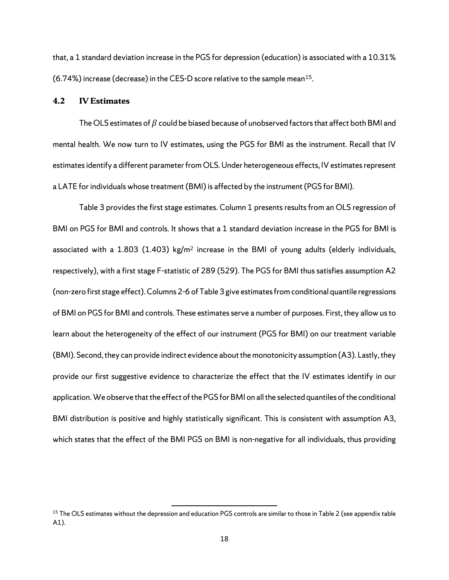that, a 1 standard deviation increase in the PGS for depression (education) is associated with a 10.31% (6.74%) increase (decrease) in the CES-D score relative to the sample mean[15.](#page-21-0)

### **4.2 IV Estimates**

The OLS estimates of  $\beta$  could be biased because of unobserved factors that affect both BMI and mental health. We now turn to IV estimates, using the PGS for BMI as the instrument. Recall that IV estimates identify a different parameter from OLS. Under heterogeneous effects, IV estimates represent a LATE for individuals whose treatment (BMI) is affected by the instrument (PGS for BMI).

Table 3 provides the first stage estimates. Column 1 presents results from an OLS regression of BMI on PGS for BMI and controls. It shows that a 1 standard deviation increase in the PGS for BMI is associated with a 1.803 (1.403) kg/m<sup>2</sup> increase in the BMI of young adults (elderly individuals, respectively), with a first stage F-statistic of 289 (529). The PGS for BMI thus satisfies assumption A2 (non-zero first stage effect). Columns 2-6 of Table 3 give estimates from conditional quantile regressions of BMI on PGS for BMI and controls. These estimates serve a number of purposes. First, they allow us to learn about the heterogeneity of the effect of our instrument (PGS for BMI) on our treatment variable (BMI). Second, they can provide indirect evidence about the monotonicity assumption (A3). Lastly, they provide our first suggestive evidence to characterize the effect that the IV estimates identify in our application. We observe that the effect of the PGS for BMI on all the selected quantiles of the conditional BMI distribution is positive and highly statistically significant. This is consistent with assumption A3, which states that the effect of the BMI PGS on BMI is non-negative for all individuals, thus providing

 $\overline{a}$ 

<span id="page-21-0"></span><sup>&</sup>lt;sup>15</sup> The OLS estimates without the depression and education PGS controls are similar to those in Table 2 (see appendix table A1).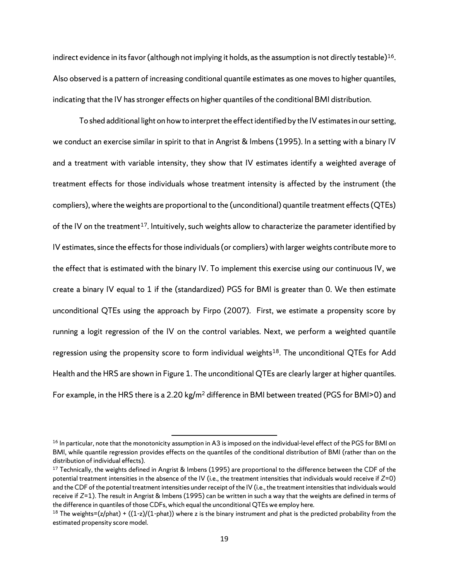indirect evidence in its favor (although not implying it holds, as the assumption is not directly testable)[16.](#page-22-0) Also observed is a pattern of increasing conditional quantile estimates as one moves to higher quantiles, indicating that the IV has stronger effects on higher quantiles of the conditional BMI distribution.

To shed additional light on how to interpret the effect identified by the IV estimates in our setting, we conduct an exercise similar in spirit to that in Angrist & Imbens (1995). In a setting with a binary IV and a treatment with variable intensity, they show that IV estimates identify a weighted average of treatment effects for those individuals whose treatment intensity is affected by the instrument (the compliers), where the weights are proportional to the (unconditional) quantile treatment effects (QTEs) of the IV on the treatment<sup>17</sup>. Intuitively, such weights allow to characterize the parameter identified by IV estimates, since the effects for those individuals (or compliers) with larger weights contribute more to the effect that is estimated with the binary IV. To implement this exercise using our continuous IV, we create a binary IV equal to 1 if the (standardized) PGS for BMI is greater than 0. We then estimate unconditional QTEs using the approach by Firpo (2007). First, we estimate a propensity score by running a logit regression of the IV on the control variables. Next, we perform a weighted quantile regression using the propensity score to form individual weights<sup>18</sup>. The unconditional QTEs for Add Health and the HRS are shown in Figure 1. The unconditional QTEs are clearly larger at higher quantiles. For example, in the HRS there is a 2.20 kg/m2 difference in BMI between treated (PGS for BMI>0) and

 $\overline{a}$ 

<span id="page-22-0"></span><sup>&</sup>lt;sup>16</sup> In particular, note that the monotonicity assumption in A3 is imposed on the individual-level effect of the PGS for BMI on BMI, while quantile regression provides effects on the quantiles of the conditional distribution of BMI (rather than on the distribution of individual effects).<br><sup>17</sup> Technically, the weights defined in Angrist & Imbens (1995) are proportional to the difference between the CDF of the

<span id="page-22-1"></span>potential treatment intensities in the absence of the IV (i.e., the treatment intensities that individuals would receive if *Z*=0) and the CDF of the potential treatment intensities under receipt of the IV (i.e., the treatment intensities that individuals would receive if *Z*=1). The result in Angrist & Imbens (1995) can be written in such a way that the weights are defined in terms of the difference in quantiles of those CDFs, which equal the unconditional QTEs we employ here.

<span id="page-22-2"></span><sup>&</sup>lt;sup>18</sup> The weights=(z/phat) +  $((1-z)/(1-phat))$  where z is the binary instrument and phat is the predicted probability from the estimated propensity score model.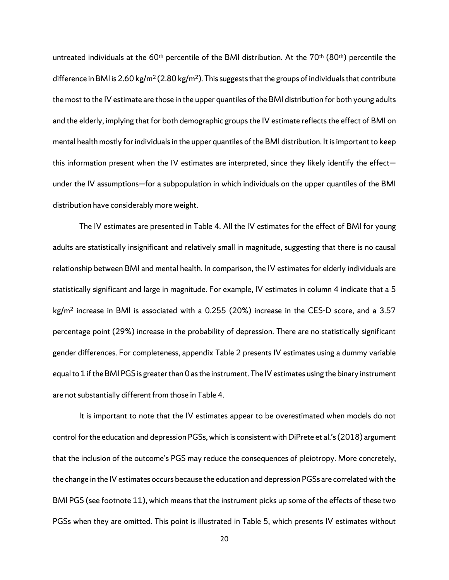untreated individuals at the 60<sup>th</sup> percentile of the BMI distribution. At the 70<sup>th</sup> (80<sup>th</sup>) percentile the difference in BMI is 2.60 kg/m<sup>2</sup> (2.80 kg/m<sup>2</sup>). This suggests that the groups of individuals that contribute the most to the IV estimate are those in the upper quantiles of the BMI distribution for both young adults and the elderly, implying that for both demographic groups the IV estimate reflects the effect of BMI on mental health mostly for individuals in the upper quantiles of the BMI distribution. It is important to keep this information present when the IV estimates are interpreted, since they likely identify the effect under the IV assumptions—for a subpopulation in which individuals on the upper quantiles of the BMI distribution have considerably more weight.

The IV estimates are presented in Table 4. All the IV estimates for the effect of BMI for young adults are statistically insignificant and relatively small in magnitude, suggesting that there is no causal relationship between BMI and mental health. In comparison, the IV estimates for elderly individuals are statistically significant and large in magnitude. For example, IV estimates in column 4 indicate that a 5  $kg/m<sup>2</sup>$  increase in BMI is associated with a 0.255 (20%) increase in the CES-D score, and a 3.57 percentage point (29%) increase in the probability of depression. There are no statistically significant gender differences. For completeness, appendix Table 2 presents IV estimates using a dummy variable equal to 1 if the BMI PGS is greater than 0 as the instrument. The IV estimates using the binary instrument are not substantially different from those in Table 4.

It is important to note that the IV estimates appear to be overestimated when models do not control for the education and depression PGSs, which is consistent with DiPrete et al.'s (2018) argument that the inclusion of the outcome's PGS may reduce the consequences of pleiotropy. More concretely, the change in the IV estimates occurs because the education and depression PGSs are correlated with the BMI PGS (see footnote 11), which means that the instrument picks up some of the effects of these two PGSs when they are omitted. This point is illustrated in Table 5, which presents IV estimates without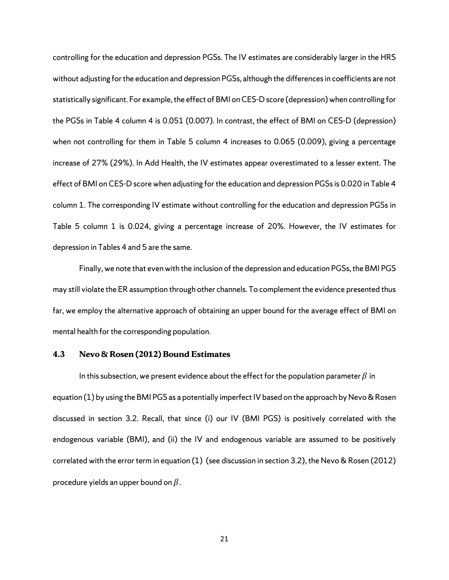controlling for the education and depression PGSs. The IV estimates are considerably larger in the HRS without adjusting for the education and depression PGSs, although the differences in coefficients are not statistically significant. For example, the effect of BMI on CES-D score (depression) when controlling for the PGSs in Table 4 column 4 is 0.051 (0.007). In contrast, the effect of BMI on CES-D (depression) when not controlling for them in Table 5 column 4 increases to 0.065 (0.009), giving a percentage increase of 27% (29%). In Add Health, the IV estimates appear overestimated to a lesser extent. The effect of BMI on CES-D score when adjusting for the education and depression PGSs is 0.020 in Table 4 column 1. The corresponding IV estimate without controlling for the education and depression PGSs in Table 5 column 1 is 0.024, giving a percentage increase of 20%. However, the IV estimates for depression in Tables 4 and 5 are the same.

Finally, we note that even with the inclusion of the depression and education PGSs, the BMI PGS may still violate the ER assumption through other channels. To complement the evidence presented thus far, we employ the alternative approach of obtaining an upper bound for the average effect of BMI on mental health for the corresponding population.

# **4.3 Nevo & Rosen (2012) Bound Estimates**

In this subsection, we present evidence about the effect for the population parameter  $\beta$  in equation (1) by using the BMI PGS as a potentially imperfect IV based on the approach by Nevo & Rosen discussed in section 3.2. Recall, that since (i) our IV (BMI PGS) is positively correlated with the endogenous variable (BMI), and (ii) the IV and endogenous variable are assumed to be positively correlated with the error term in equation (1) (see discussion in section 3.2), the Nevo & Rosen (2012) procedure yields an upper bound on  $\beta$ .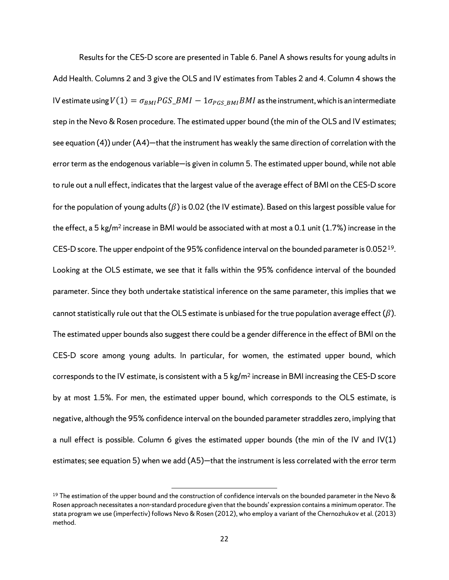Results for the CES-D score are presented in Table 6. Panel A shows results for young adults in Add Health. Columns 2 and 3 give the OLS and IV estimates from Tables 2 and 4. Column 4 shows the IV estimate using  $V(1) = \sigma_{BMI} PGS\_BMI - 1 \sigma_{PGS,BMI} BMI$  as the instrument, which is an intermediate step in the Nevo & Rosen procedure. The estimated upper bound (the min of the OLS and IV estimates; see equation (4)) under (A4)—that the instrument has weakly the same direction of correlation with the error term as the endogenous variable—is given in column 5. The estimated upper bound, while not able to rule out a null effect, indicates that the largest value of the average effect of BMI on the CES-D score for the population of young adults  $(\beta)$  is 0.02 (the IV estimate). Based on this largest possible value for the effect, a 5 kg/m<sup>2</sup> increase in BMI would be associated with at most a 0.1 unit (1.7%) increase in the CES-D score. The upper endpoint of the 95% confidence interval on the bounded parameter is 0.052<sup>19</sup>. Looking at the OLS estimate, we see that it falls within the 95% confidence interval of the bounded parameter. Since they both undertake statistical inference on the same parameter, this implies that we cannot statistically rule out that the OLS estimate is unbiased for the true population average effect  $(\beta)$ . The estimated upper bounds also suggest there could be a gender difference in the effect of BMI on the CES-D score among young adults. In particular, for women, the estimated upper bound, which corresponds to the IV estimate, is consistent with a 5 kg/m<sup>2</sup> increase in BMI increasing the CES-D score by at most 1.5%. For men, the estimated upper bound, which corresponds to the OLS estimate, is negative, although the 95% confidence interval on the bounded parameter straddles zero, implying that a null effect is possible. Column 6 gives the estimated upper bounds (the min of the IV and IV $(1)$ estimates; see equation 5) when we add (A5)—that the instrument is less correlated with the error term

 $\overline{a}$ 

<span id="page-25-0"></span> $19$  The estimation of the upper bound and the construction of confidence intervals on the bounded parameter in the Nevo & Rosen approach necessitates a non-standard procedure given that the bounds' expression contains a minimum operator. The stata program we use (imperfectiv) follows Nevo & Rosen (2012), who employ a variant of the Chernozhukov et al. (2013) method.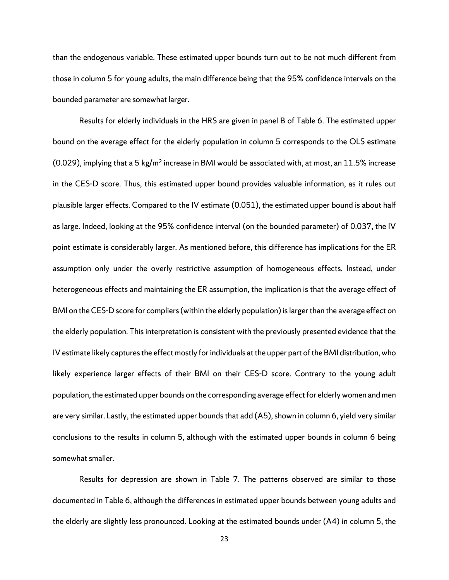than the endogenous variable. These estimated upper bounds turn out to be not much different from those in column 5 for young adults, the main difference being that the 95% confidence intervals on the bounded parameter are somewhat larger.

Results for elderly individuals in the HRS are given in panel B of Table 6. The estimated upper bound on the average effect for the elderly population in column 5 corresponds to the OLS estimate (0.029), implying that a 5 kg/m<sup>2</sup> increase in BMI would be associated with, at most, an 11.5% increase in the CES-D score. Thus, this estimated upper bound provides valuable information, as it rules out plausible larger effects. Compared to the IV estimate (0.051), the estimated upper bound is about half as large. Indeed, looking at the 95% confidence interval (on the bounded parameter) of 0.037, the IV point estimate is considerably larger. As mentioned before, this difference has implications for the ER assumption only under the overly restrictive assumption of homogeneous effects. Instead, under heterogeneous effects and maintaining the ER assumption, the implication is that the average effect of BMI on the CES-D score for compliers (within the elderly population) is larger than the average effect on the elderly population. This interpretation is consistent with the previously presented evidence that the IV estimate likely captures the effect mostly for individuals at the upper part of the BMI distribution, who likely experience larger effects of their BMI on their CES-D score. Contrary to the young adult population, the estimated upper bounds on the corresponding average effect for elderly women and men are very similar. Lastly, the estimated upper bounds that add (A5), shown in column 6, yield very similar conclusions to the results in column 5, although with the estimated upper bounds in column 6 being somewhat smaller.

Results for depression are shown in Table 7. The patterns observed are similar to those documented in Table 6, although the differences in estimated upper bounds between young adults and the elderly are slightly less pronounced. Looking at the estimated bounds under (A4) in column 5, the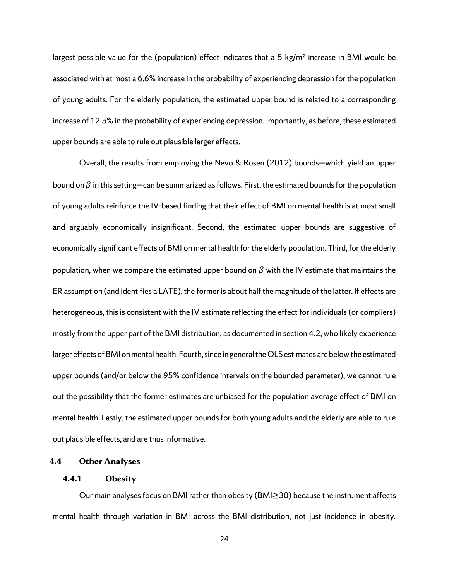largest possible value for the (population) effect indicates that a 5 kg/ $m<sup>2</sup>$  increase in BMI would be associated with at most a 6.6% increase in the probability of experiencing depression for the population of young adults. For the elderly population, the estimated upper bound is related to a corresponding increase of 12.5% in the probability of experiencing depression. Importantly, as before, these estimated upper bounds are able to rule out plausible larger effects.

Overall, the results from employing the Nevo & Rosen (2012) bounds—which yield an upper bound on  $\beta$  in this setting—can be summarized as follows. First, the estimated bounds for the population of young adults reinforce the IV-based finding that their effect of BMI on mental health is at most small and arguably economically insignificant. Second, the estimated upper bounds are suggestive of economically significant effects of BMI on mental health for the elderly population. Third, for the elderly population, when we compare the estimated upper bound on  $\beta$  with the IV estimate that maintains the ER assumption (and identifies a LATE), the former is about half the magnitude of the latter. If effects are heterogeneous, this is consistent with the IV estimate reflecting the effect for individuals (or compliers) mostly from the upper part of the BMI distribution, as documented in section 4.2, who likely experience larger effects of BMI on mental health. Fourth, since in general the OLS estimates are below the estimated upper bounds (and/or below the 95% confidence intervals on the bounded parameter), we cannot rule out the possibility that the former estimates are unbiased for the population average effect of BMI on mental health. Lastly, the estimated upper bounds for both young adults and the elderly are able to rule out plausible effects, and are thus informative.

# **4.4 Other Analyses**

# **4.4.1 Obesity**

<span id="page-27-0"></span>Our main analyses focus on BMI rather than obesity (BMI≥30) because the instrument affects mental health through variation in BMI across the BMI distribution, not just incidence in obesity.

24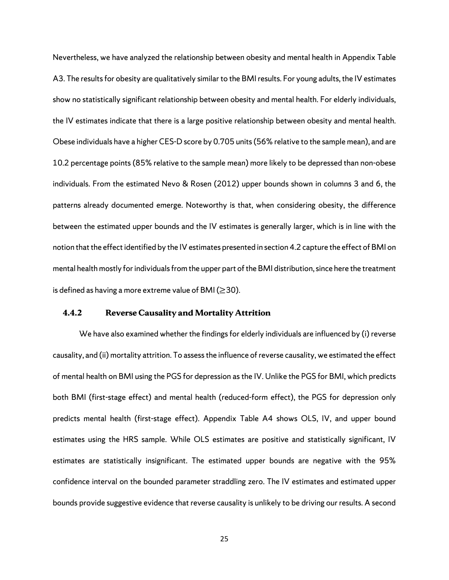Nevertheless, we have analyzed the relationship between obesity and mental health in Appendix Table A3. The results for obesity are qualitatively similar to the BMI results. For young adults, the IV estimates show no statistically significant relationship between obesity and mental health. For elderly individuals, the IV estimates indicate that there is a large positive relationship between obesity and mental health. Obese individuals have a higher CES-D score by 0.705 units (56% relative to the sample mean), and are 10.2 percentage points (85% relative to the sample mean) more likely to be depressed than non-obese individuals. From the estimated Nevo & Rosen (2012) upper bounds shown in columns 3 and 6, the patterns already documented emerge. Noteworthy is that, when considering obesity, the difference between the estimated upper bounds and the IV estimates is generally larger, which is in line with the notion that the effect identified by the IV estimates presented in section 4.2 capture the effect of BMI on mental health mostly for individuals from the upper part of the BMI distribution, since here the treatment is defined as having a more extreme value of BMI ( $\geq$ 30).

### **4.4.2 Reverse Causality and Mortality Attrition**

We have also examined whether the findings for elderly individuals are influenced by (i) reverse causality, and (ii) mortality attrition. To assess the influence of reverse causality, we estimated the effect of mental health on BMI using the PGS for depression as the IV. Unlike the PGS for BMI, which predicts both BMI (first-stage effect) and mental health (reduced-form effect), the PGS for depression only predicts mental health (first-stage effect). Appendix Table A4 shows OLS, IV, and upper bound estimates using the HRS sample. While OLS estimates are positive and statistically significant, IV estimates are statistically insignificant. The estimated upper bounds are negative with the 95% confidence interval on the bounded parameter straddling zero. The IV estimates and estimated upper bounds provide suggestive evidence that reverse causality is unlikely to be driving our results. A second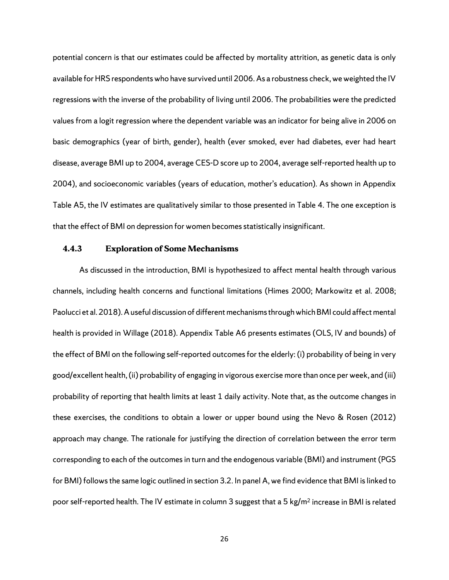potential concern is that our estimates could be affected by mortality attrition, as genetic data is only available for HRS respondents who have survived until 2006. As a robustness check, we weighted the IV regressions with the inverse of the probability of living until 2006. The probabilities were the predicted values from a logit regression where the dependent variable was an indicator for being alive in 2006 on basic demographics (year of birth, gender), health (ever smoked, ever had diabetes, ever had heart disease, average BMI up to 2004, average CES-D score up to 2004, average self-reported health up to 2004), and socioeconomic variables (years of education, mother's education). As shown in Appendix Table A5, the IV estimates are qualitatively similar to those presented in Table 4. The one exception is that the effect of BMI on depression for women becomes statistically insignificant.

#### **4.4.3 Exploration of Some Mechanisms**

As discussed in the introduction, BMI is hypothesized to affect mental health through various channels, including health concerns and functional limitations (Himes 2000; Markowitz et al. 2008; Paolucci et al. 2018). A useful discussion of different mechanisms through which BMI could affect mental health is provided in Willage (2018). Appendix Table A6 presents estimates (OLS, IV and bounds) of the effect of BMI on the following self-reported outcomes for the elderly: (i) probability of being in very good/excellent health, (ii) probability of engaging in vigorous exercise more than once per week, and (iii) probability of reporting that health limits at least 1 daily activity. Note that, as the outcome changes in these exercises, the conditions to obtain a lower or upper bound using the Nevo & Rosen (2012) approach may change. The rationale for justifying the direction of correlation between the error term corresponding to each of the outcomes in turn and the endogenous variable (BMI) and instrument (PGS for BMI) follows the same logic outlined in section 3.2. In panel A, we find evidence that BMI is linked to poor self-reported health. The IV estimate in column 3 suggest that a 5 kg/m<sup>2</sup> increase in BMI is related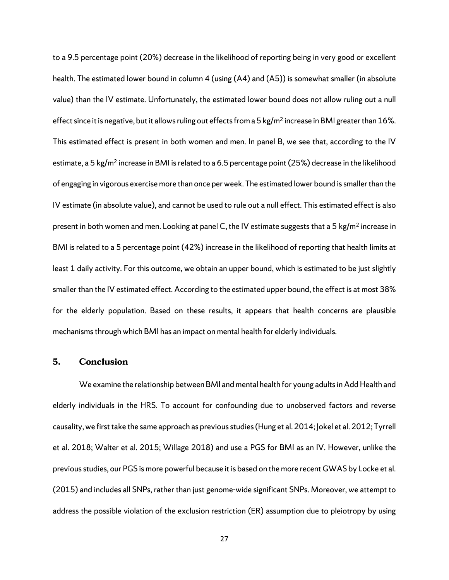to a 9.5 percentage point (20%) decrease in the likelihood of reporting being in very good or excellent health. The estimated lower bound in column 4 (using (A4) and (A5)) is somewhat smaller (in absolute value) than the IV estimate. Unfortunately, the estimated lower bound does not allow ruling out a null effect since it is negative, but it allows ruling out effects from a 5 kg/m<sup>2</sup> increase in BMI greater than 16%. This estimated effect is present in both women and men. In panel B, we see that, according to the IV estimate, a 5 kg/m<sup>2</sup> increase in BMI is related to a 6.5 percentage point (25%) decrease in the likelihood of engaging in vigorous exercise more than once per week. The estimated lower bound is smaller than the IV estimate (in absolute value), and cannot be used to rule out a null effect. This estimated effect is also present in both women and men. Looking at panel C, the IV estimate suggests that a 5 kg/m<sup>2</sup> increase in BMI is related to a 5 percentage point (42%) increase in the likelihood of reporting that health limits at least 1 daily activity. For this outcome, we obtain an upper bound, which is estimated to be just slightly smaller than the IV estimated effect. According to the estimated upper bound, the effect is at most 38% for the elderly population. Based on these results, it appears that health concerns are plausible mechanisms through which BMI has an impact on mental health for elderly individuals.

# **5. Conclusion**

We examine the relationship between BMI and mental health for young adults in Add Health and elderly individuals in the HRS. To account for confounding due to unobserved factors and reverse causality, we first take the same approach as previous studies (Hung et al. 2014; Jokel et al. 2012; Tyrrell et al. 2018; Walter et al. 2015; Willage 2018) and use a PGS for BMI as an IV. However, unlike the previous studies, our PGS is more powerful because it is based on the more recent GWAS by Locke et al. (2015) and includes all SNPs, rather than just genome-wide significant SNPs. Moreover, we attempt to address the possible violation of the exclusion restriction (ER) assumption due to pleiotropy by using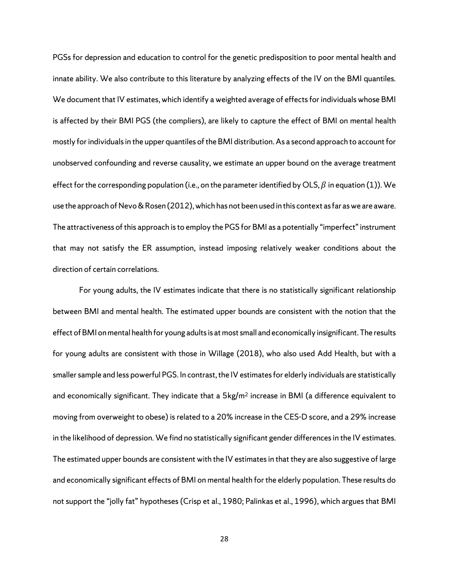PGSs for depression and education to control for the genetic predisposition to poor mental health and innate ability. We also contribute to this literature by analyzing effects of the IV on the BMI quantiles. We document that IV estimates, which identify a weighted average of effects for individuals whose BMI is affected by their BMI PGS (the compliers), are likely to capture the effect of BMI on mental health mostly for individuals in the upper quantiles of the BMI distribution. As a second approach to account for unobserved confounding and reverse causality, we estimate an upper bound on the average treatment effect for the corresponding population (i.e., on the parameter identified by OLS,  $\beta$  in equation (1)). We use the approach of Nevo & Rosen (2012), which has not been used in this context as far as we are aware. The attractiveness of this approach is to employ the PGS for BMI as a potentially "imperfect" instrument that may not satisfy the ER assumption, instead imposing relatively weaker conditions about the direction of certain correlations.

For young adults, the IV estimates indicate that there is no statistically significant relationship between BMI and mental health. The estimated upper bounds are consistent with the notion that the effect of BMI on mental health for young adults is at most small and economically insignificant. The results for young adults are consistent with those in Willage (2018), who also used Add Health, but with a smaller sample and less powerful PGS. In contrast, the IV estimates for elderly individuals are statistically and economically significant. They indicate that a  $5kg/m^2$  increase in BMI (a difference equivalent to moving from overweight to obese) is related to a 20% increase in the CES-D score, and a 29% increase in the likelihood of depression. We find no statistically significant gender differences in the IV estimates. The estimated upper bounds are consistent with the IV estimates in that they are also suggestive of large and economically significant effects of BMI on mental health for the elderly population. These results do not support the "jolly fat" hypotheses (Crisp et al., 1980; Palinkas et al., 1996), which argues that BMI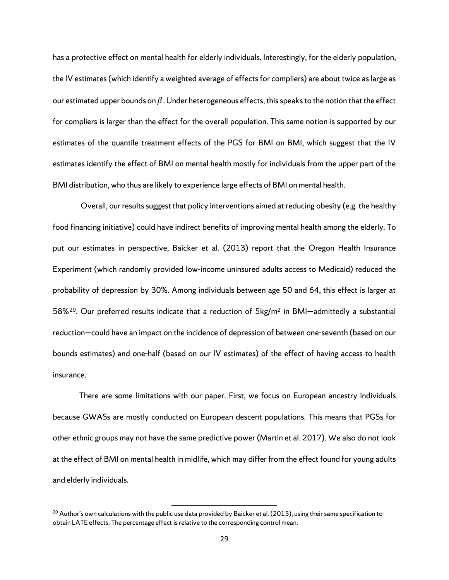has a protective effect on mental health for elderly individuals. Interestingly, for the elderly population, the IV estimates (which identify a weighted average of effects for compliers) are about twice as large as our estimated upper bounds on  $\beta$ . Under heterogeneous effects, this speaks to the notion that the effect for compliers is larger than the effect for the overall population. This same notion is supported by our estimates of the quantile treatment effects of the PGS for BMI on BMI, which suggest that the IV estimates identify the effect of BMI on mental health mostly for individuals from the upper part of the BMI distribution, who thus are likely to experience large effects of BMI on mental health.

Overall, our results suggest that policy interventions aimed at reducing obesity (e.g. the healthy food financing initiative) could have indirect benefits of improving mental health among the elderly. To put our estimates in perspective, Baicker et al. (2013) report that the Oregon Health Insurance Experiment (which randomly provided low-income uninsured adults access to Medicaid) reduced the probability of depression by 30%. Among individuals between age 50 and 64, this effect is larger at 58%[20.](#page-32-0) Our preferred results indicate that a reduction of 5kg/m2 in BMI—admittedly a substantial reduction—could have an impact on the incidence of depression of between one-seventh (based on our bounds estimates) and one-half (based on our IV estimates) of the effect of having access to health insurance.

There are some limitations with our paper. First, we focus on European ancestry individuals because GWASs are mostly conducted on European descent populations. This means that PGSs for other ethnic groups may not have the same predictive power (Martin et al. 2017). We also do not look at the effect of BMI on mental health in midlife, which may differ from the effect found for young adults and elderly individuals.

 $\overline{a}$ 

<span id="page-32-0"></span> $20$  Author's own calculations with the public use data provided by Baicker et al. (2013), using their same specification to obtain LATE effects. The percentage effect is relative to the corresponding control mean.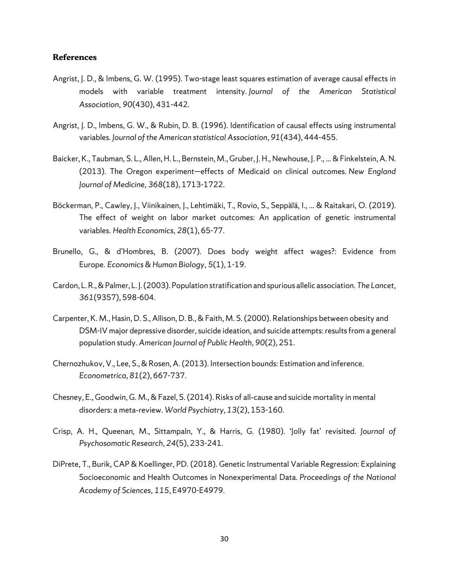### **References**

- Angrist, J. D., & Imbens, G. W. (1995). Two-stage least squares estimation of average causal effects in models with variable treatment intensity. *Journal of the American Statistical Association*, *90*(430), 431-442.
- Angrist, J. D., Imbens, G. W., & Rubin, D. B. (1996). Identification of causal effects using instrumental variables. *Journal of the American statistical Association*, *91*(434), 444-455.
- Baicker, K., Taubman, S. L., Allen, H. L., Bernstein, M., Gruber, J. H., Newhouse, J. P., ... & Finkelstein, A. N. (2013). The Oregon experiment—effects of Medicaid on clinical outcomes. *New England Journal of Medicine*, *368*(18), 1713-1722.
- Böckerman, P., Cawley, J., Viinikainen, J., Lehtimäki, T., Rovio, S., Seppälä, I., ... & Raitakari, O. (2019). The effect of weight on labor market outcomes: An application of genetic instrumental variables. *Health Economics*, *28*(1), 65-77.
- Brunello, G., & d'Hombres, B. (2007). Does body weight affect wages?: Evidence from Europe. *Economics & Human Biology*, *5*(1), 1-19.
- Cardon, L. R., & Palmer, L. J. (2003). Population stratification and spurious allelic association. *The Lancet*, *361*(9357), 598-604.
- Carpenter, K. M., Hasin, D. S., Allison, D. B., & Faith, M. S. (2000). Relationships between obesity and DSM-IV major depressive disorder, suicide ideation, and suicide attempts: results from a general population study. *American Journal of Public Health*, *90*(2), 251.
- Chernozhukov, V., Lee, S., & Rosen, A. (2013). Intersection bounds: Estimation and inference. *Econometrica*, *81*(2), 667-737.
- Chesney, E., Goodwin, G. M., & Fazel, S. (2014). Risks of all‐cause and suicide mortality in mental disorders: a meta‐review. *World Psychiatry*, *13*(2), 153-160.
- Crisp, A. H., Queenan, M., Sittampaln, Y., & Harris, G. (1980). 'Jolly fat' revisited. *Journal of Psychosomatic Research*, *24*(5), 233-241.
- DiPrete, T., Burik, CAP & Koellinger, PD. (2018). Genetic Instrumental Variable Regression: Explaining Socioeconomic and Health Outcomes in Nonexperimental Data. *Proceedings of the National Academy of Sciences*, *115*, E4970-E4979.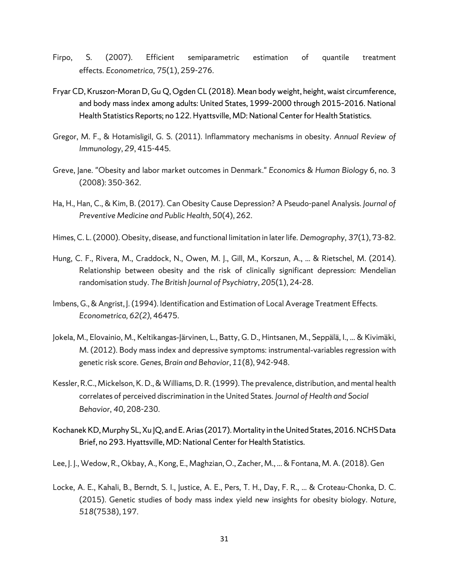- Firpo, S. (2007). Efficient semiparametric estimation of quantile treatment effects. *Econometrica*, *75*(1), 259-276.
- Fryar CD, Kruszon-Moran D, Gu Q, Ogden CL (2018). Mean body weight, height, waist circumference, and body mass index among adults: United States, 1999–2000 through 2015–2016. National Health Statistics Reports; no 122. Hyattsville, MD: National Center for Health Statistics.
- Gregor, M. F., & Hotamisligil, G. S. (2011). Inflammatory mechanisms in obesity. *Annual Review of Immunology*, *29*, 415-445.
- Greve, Jane. "Obesity and labor market outcomes in Denmark." *Economics & Human Biology* 6, no. 3 (2008): 350-362.
- Ha, H., Han, C., & Kim, B. (2017). Can Obesity Cause Depression? A Pseudo-panel Analysis. *Journal of Preventive Medicine and Public Health*, *50*(4), 262.
- Himes, C. L. (2000). Obesity, disease, and functional limitation in later life. *Demography*, *37*(1), 73-82.
- Hung, C. F., Rivera, M., Craddock, N., Owen, M. J., Gill, M., Korszun, A., ... & Rietschel, M. (2014). Relationship between obesity and the risk of clinically significant depression: Mendelian randomisation study. *The British Journal of Psychiatry*, *205*(1), 24-28.
- Imbens, G., & Angrist, J. (1994). Identification and Estimation of Local Average Treatment Effects. *Econometrica, 62(2),* 46475.
- Jokela, M., Elovainio, M., Keltikangas‐Järvinen, L., Batty, G. D., Hintsanen, M., Seppälä, I., ... & Kivimäki, M. (2012). Body mass index and depressive symptoms: instrumental‐variables regression with genetic risk score. *Genes, Brain and Behavior*, *11*(8), 942-948.
- Kessler, R.C., Mickelson, K. D., & Williams, D. R. (1999). The prevalence, distribution, and mental health correlates of perceived discrimination in the United States. *Journal of Health and Social Behavior*, *40*, 208-230.
- Kochanek KD, Murphy SL, Xu JQ, and E. Arias (2017). Mortality in the United States, 2016. NCHS Data Brief, no 293. Hyattsville, MD: National Center for Health Statistics.
- Lee, J. J., Wedow, R., Okbay, A., Kong, E., Maghzian, O., Zacher, M., ... & Fontana, M. A. (2018). Gen
- Locke, A. E., Kahali, B., Berndt, S. I., Justice, A. E., Pers, T. H., Day, F. R., ... & Croteau-Chonka, D. C. (2015). Genetic studies of body mass index yield new insights for obesity biology. *Nature*, *518*(7538), 197.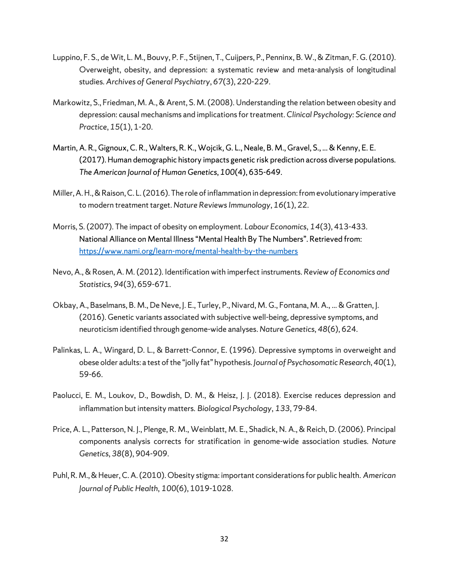- Luppino, F. S., de Wit, L. M., Bouvy, P. F., Stijnen, T., Cuijpers, P., Penninx, B. W., & Zitman, F. G. (2010). Overweight, obesity, and depression: a systematic review and meta-analysis of longitudinal studies. *Archives of General Psychiatry*, *67*(3), 220-229.
- Markowitz, S., Friedman, M. A., & Arent, S. M. (2008). Understanding the relation between obesity and depression: causal mechanisms and implications for treatment. *Clinical Psychology: Science and Practice*, *15*(1), 1-20.
- Martin, A. R., Gignoux, C. R., Walters, R. K., Wojcik, G. L., Neale, B. M., Gravel, S., ... & Kenny, E. E. (2017). Human demographic history impacts genetic risk prediction across diverse populations. *The American Journal of Human Genetics*, *100*(4), 635-649.
- Miller, A. H., & Raison, C. L. (2016). The role of inflammation in depression: from evolutionary imperative to modern treatment target. *Nature Reviews Immunology*, *16*(1), 22.
- Morris, S. (2007). The impact of obesity on employment. *Labour Economics*, *14*(3), 413-433. National Alliance on Mental Illness "Mental Health By The Numbers". Retrieved from: <https://www.nami.org/learn-more/mental-health-by-the-numbers>
- Nevo, A., & Rosen, A. M. (2012). Identification with imperfect instruments. *Review of Economics and Statistics*, *94*(3), 659-671.
- Okbay, A., Baselmans, B. M., De Neve, J. E., Turley, P., Nivard, M. G., Fontana, M. A., ... & Gratten, J. (2016). Genetic variants associated with subjective well-being, depressive symptoms, and neuroticism identified through genome-wide analyses. *Nature Genetics*, *48*(6), 624.
- Palinkas, L. A., Wingard, D. L., & Barrett-Connor, E. (1996). Depressive symptoms in overweight and obese older adults: a test of the "jolly fat" hypothesis. *Journal of Psychosomatic Research*, *40*(1), 59-66.
- Paolucci, E. M., Loukov, D., Bowdish, D. M., & Heisz, J. J. (2018). Exercise reduces depression and inflammation but intensity matters. *Biological Psychology*, *133*, 79-84.
- Price, A. L., Patterson, N. J., Plenge, R. M., Weinblatt, M. E., Shadick, N. A., & Reich, D. (2006). Principal components analysis corrects for stratification in genome-wide association studies. *Nature Genetics*, *38*(8), 904-909.
- Puhl, R. M., & Heuer, C. A. (2010). Obesity stigma: important considerations for public health. *American Journal of Public Health*, *100*(6), 1019-1028.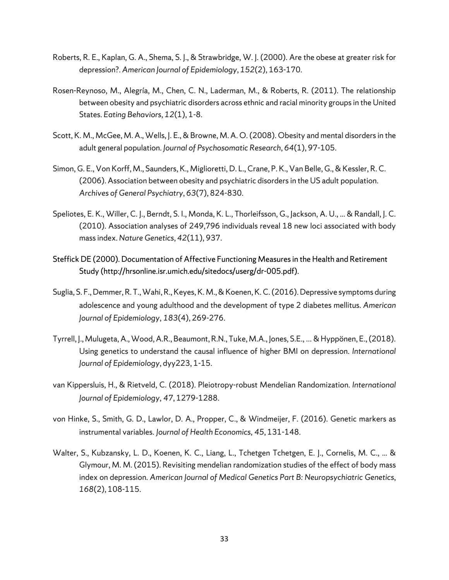- Roberts, R. E., Kaplan, G. A., Shema, S. J., & Strawbridge, W. J. (2000). Are the obese at greater risk for depression?. *American Journal of Epidemiology*, *152*(2), 163-170.
- Rosen-Reynoso, M., Alegría, M., Chen, C. N., Laderman, M., & Roberts, R. (2011). The relationship between obesity and psychiatric disorders across ethnic and racial minority groups in the United States. *Eating Behaviors*, *12*(1), 1-8.
- Scott, K. M., McGee, M. A., Wells, J. E., & Browne, M. A. O. (2008). Obesity and mental disorders in the adult general population. *Journal of Psychosomatic Research*, *64*(1), 97-105.
- Simon, G. E., Von Korff, M., Saunders, K., Miglioretti, D. L., Crane, P. K., Van Belle, G., & Kessler, R. C. (2006). Association between obesity and psychiatric disorders in the US adult population. *Archives of General Psychiatry*, *63*(7), 824-830.
- Speliotes, E. K., Willer, C. J., Berndt, S. I., Monda, K. L., Thorleifsson, G., Jackson, A. U., ... & Randall, J. C. (2010). Association analyses of 249,796 individuals reveal 18 new loci associated with body mass index. *Nature Genetics*, *42*(11), 937.
- Steffick DE (2000). Documentation of Affective Functioning Measures in the Health and Retirement Study (http://hrsonline.isr.umich.edu/sitedocs/userg/dr-005.pdf).
- Suglia, S. F., Demmer, R. T., Wahi, R., Keyes, K. M., & Koenen, K. C. (2016). Depressive symptoms during adolescence and young adulthood and the development of type 2 diabetes mellitus. *American Journal of Epidemiology*, *183*(4), 269-276.
- Tyrrell, J., Mulugeta, A., Wood, A.R., Beaumont, R.N., Tuke, M.A., Jones, S.E., … & Hyppönen, E., (2018). Using genetics to understand the causal influence of higher BMI on depression. *International Journal of Epidemiology*, dyy223, 1-15.
- van Kippersluis, H., & Rietveld, C. (2018). Pleiotropy-robust Mendelian Randomization. *International Journal of Epidemiology*, *47*, 1279-1288.
- von Hinke, S., Smith, G. D., Lawlor, D. A., Propper, C., & Windmeijer, F. (2016). Genetic markers as instrumental variables. *Journal of Health Economics*, *45*, 131-148.
- Walter, S., Kubzansky, L. D., Koenen, K. C., Liang, L., Tchetgen Tchetgen, E. J., Cornelis, M. C., ... & Glymour, M. M. (2015). Revisiting mendelian randomization studies of the effect of body mass index on depression. *American Journal of Medical Genetics Part B: Neuropsychiatric Genetics*, *168*(2), 108-115.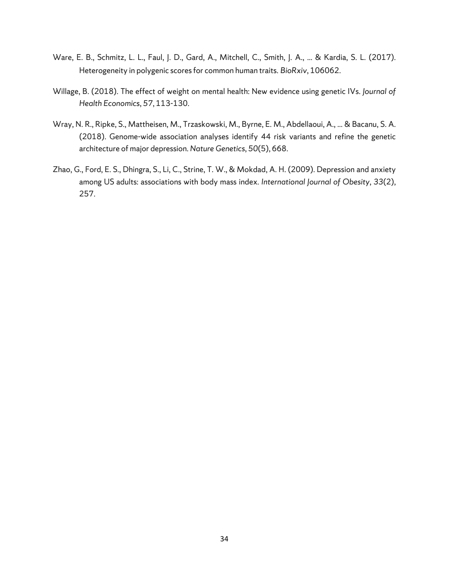- Ware, E. B., Schmitz, L. L., Faul, J. D., Gard, A., Mitchell, C., Smith, J. A., ... & Kardia, S. L. (2017). Heterogeneity in polygenic scores for common human traits. *BioRxiv*, 106062.
- Willage, B. (2018). The effect of weight on mental health: New evidence using genetic IVs. *Journal of Health Economics*, *57*, 113-130.
- Wray, N. R., Ripke, S., Mattheisen, M., Trzaskowski, M., Byrne, E. M., Abdellaoui, A., ... & Bacanu, S. A. (2018). Genome-wide association analyses identify 44 risk variants and refine the genetic architecture of major depression. *Nature Genetics*, *50*(5), 668.
- Zhao, G., Ford, E. S., Dhingra, S., Li, C., Strine, T. W., & Mokdad, A. H. (2009). Depression and anxiety among US adults: associations with body mass index. *International Journal of Obesity*, *33*(2), 257.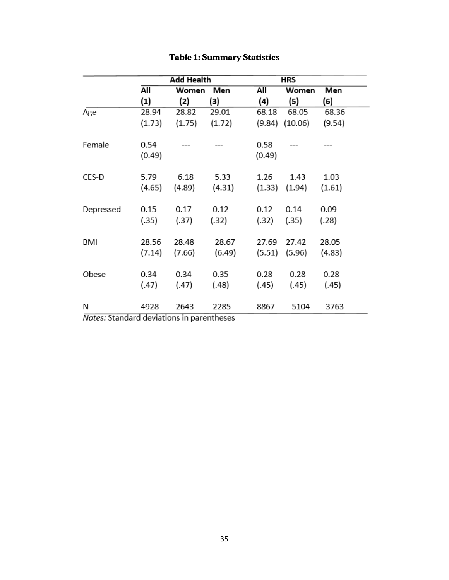|           |                   | <b>Add Health</b> |        |        | HRS     |        |  |  |
|-----------|-------------------|-------------------|--------|--------|---------|--------|--|--|
|           | All               | Women             | Men    | All    | Women   | Men    |  |  |
|           | $\left( 1\right)$ | (2)               | (3)    | (4)    | (5)     | (6)    |  |  |
| Age       | 28.94             | 28.82             | 29.01  | 68.18  | 68.05   | 68.36  |  |  |
|           | (1.73)            | (1.75)            | (1.72) | (9.84) | (10.06) | (9.54) |  |  |
| Female    | 0.54              |                   |        | 0.58   |         |        |  |  |
|           | (0.49)            |                   |        | (0.49) |         |        |  |  |
| CES-D     | 5.79              | 6.18              | 5.33   | 1.26   | 1.43    | 1.03   |  |  |
|           | (4.65)            | (4.89)            | (4.31) | (1.33) | (1.94)  | (1.61) |  |  |
| Depressed | 0.15              | 0.17              | 0.12   | 0.12   | 0.14    | 0.09   |  |  |
|           | (.35)             | (.37)             | (.32)  | (.32)  | (.35)   | (.28)  |  |  |
| BMI       | 28.56             | 28.48             | 28.67  | 27.69  | 27.42   | 28.05  |  |  |
|           | (7.14)            | (7.66)            | (6.49) | (5.51) | (5.96)  | (4.83) |  |  |
| Obese     | 0.34              | 0.34              | 0.35   | 0.28   | 0.28    | 0.28   |  |  |
|           | (.47)             | (.47)             | (.48)  | (.45)  | (.45)   | (.45)  |  |  |
| Ν         | 4928              | 2643              | 2285   | 8867   | 5104    | 3763   |  |  |

# **Table 1: Summary Statistics**

Notes: Standard deviations in parentheses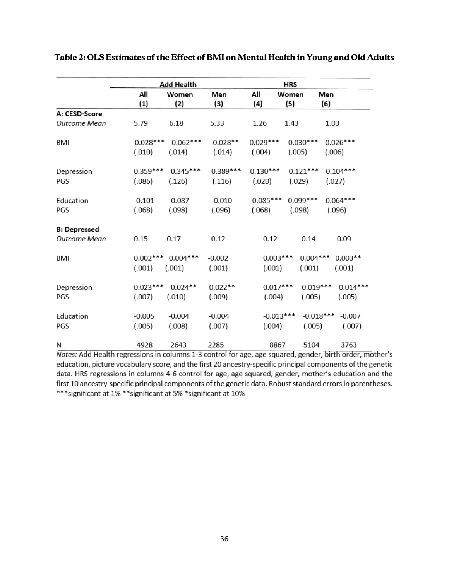|                     |            | Add Health |            |             |             |                          |
|---------------------|------------|------------|------------|-------------|-------------|--------------------------|
|                     | All        | Women      | Men        | All         | Women       | Men                      |
|                     | (1)        | (2)        | (3)        | (4)         | (5)         | (6)                      |
| A: CESD-Score       |            |            |            |             |             |                          |
| Outcome Mean        | 5.79       | 6.18       | 5.33       | 1.26        | 1.43        | 1.03                     |
| BMI                 | $0.028***$ | $0.062***$ | $-0.028**$ | $0.029***$  | $0.030***$  | $0.026***$               |
|                     | (.010)     | (.014)     | (.014)     | (.004)      | (.005)      | (.006)                   |
| Depression          | $0.359***$ | $0.345***$ | $0.389***$ | $0.130***$  | $0.121***$  | $0.104***$               |
| PGS                 | (.086)     | (.126)     | (.116)     | (.020)      | (.029)      | (.027)                   |
| Education           | $-0.101$   | $-0.087$   | $-0.010$   | $-0.085***$ | $-0.099***$ | $-0.064***$              |
| PGS                 | (.068)     | (.098)     | (.096)     | (.068)      | (.098)      | (.096)                   |
| <b>B: Depressed</b> |            |            |            |             |             |                          |
| Outcome Mean        | 0.15       | 0.17       | 0.12       | 0.12        | 0.14        | 0.09                     |
| BMI                 | $0.002***$ | $0.004***$ | $-0.002$   | $0.003***$  |             | $0.004***$<br>$0.003**$  |
|                     | (.001)     | (.001)     | (.001)     | (.001)      | (.001)      | (.001)                   |
| Depression          | $0.023***$ | $0.024**$  | $0.022**$  | $0.017***$  |             | $0.019***$<br>$0.014***$ |
| PGS                 | (.007)     | (.010)     | (.009)     | (.004)      | (.005)      | (.005)                   |
| Education           | $-0.005$   | $-0.004$   | $-0.004$   | $-0.013***$ |             | $-0.018***$<br>$-0.007$  |
| PGS                 | (.005)     | (.008)     | (.007)     | (.004)      |             | (.005)<br>(.007)         |
| N                   | 4928       | 2643       | 2285       | 8867        | 5104        | 3763                     |

**Table 2: OLS Estimates of the Effect of BMI on Mental Health in Young and Old Adults**

Notes: Add Health regressions in columns 1-3 control for age, age squared, gender, birth order, mother's education, picture vocabulary score, and the first 20 ancestry-specific principal components of the genetic data. HRS regressions in columns 4-6 control for age, age squared, gender, mother's education and the first 10 ancestry-specific principal components of the genetic data. Robust standard errors in parentheses. \*\*\* significant at 1% \*\* significant at 5% \* significant at 10%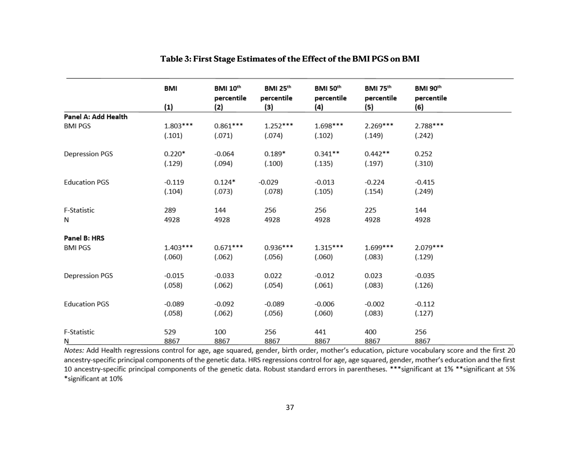|                       | <b>BMI</b>        | <b>BMI 10th</b> | <b>BMI 25th</b> | BMI 50th   | BMI 75 <sup>th</sup> | BMI 90th   |  |
|-----------------------|-------------------|-----------------|-----------------|------------|----------------------|------------|--|
|                       |                   | percentile      | percentile      | percentile | percentile           | percentile |  |
|                       | $\left( 1\right)$ | (2)             | (3)             | (4)        | (5)                  | (6)        |  |
| Panel A: Add Health   |                   |                 |                 |            |                      |            |  |
| <b>BMI PGS</b>        | $1.803***$        | $0.861***$      | $1.252***$      | $1.698***$ | $2.269***$           | 2.788***   |  |
|                       | (.101)            | (.071)          | (.074)          | (.102)     | (.149)               | (.242)     |  |
| <b>Depression PGS</b> | $0.220*$          | $-0.064$        | $0.189*$        | $0.341**$  | $0.442**$            | 0.252      |  |
|                       | (.129)            | (.094)          | (.100)          | (.135)     | (.197)               | (.310)     |  |
| <b>Education PGS</b>  | $-0.119$          | $0.124*$        | $-0.029$        | $-0.013$   | $-0.224$             | $-0.415$   |  |
|                       | (.104)            | (.073)          | (.078)          | (.105)     | (.154)               | (.249)     |  |
| F-Statistic           | 289               | 144             | 256             | 256        | 225                  | 144        |  |
| N                     | 4928              | 4928            | 4928            | 4928       | 4928                 | 4928       |  |
| Panel B: HRS          |                   |                 |                 |            |                      |            |  |
| <b>BMI PGS</b>        | $1.403***$        | $0.671***$      | $0.936***$      | $1.315***$ | $1.699***$           | 2.079***   |  |
|                       | (.060)            | (.062)          | (.056)          | (.060)     | (.083)               | (.129)     |  |
| Depression PGS        | $-0.015$          | $-0.033$        | 0.022           | $-0.012$   | 0.023                | $-0.035$   |  |
|                       | (.058)            | (.062)          | (.054)          | (.061)     | (.083)               | (.126)     |  |
| <b>Education PGS</b>  | $-0.089$          | $-0.092$        | $-0.089$        | $-0.006$   | $-0.002$             | $-0.112$   |  |
|                       | (.058)            | (.062)          | (.056)          | (.060)     | (.083)               | (.127)     |  |
| F-Statistic           | 529               | 100             | 256             | 441        | 400                  | 256        |  |
| N                     | 8867              | 8867            | 8867            | 8867       | 8867                 | 8867       |  |

# **Table 3: First Stage Estimates of the Effect of the BMI PGS on BMI**

Notes: Add Health regressions control for age, age squared, gender, birth order, mother's education, picture vocabulary score and the first 20 ancestry-specific principal components of the genetic data. HRS regressions control for age, age squared, gender, mother's education and the first 10 ancestry-specific principal components of the genetic data. Robust standard errors in parentheses. \*\*\* significant at 1% \*\* significant at 5% \*significant at 10%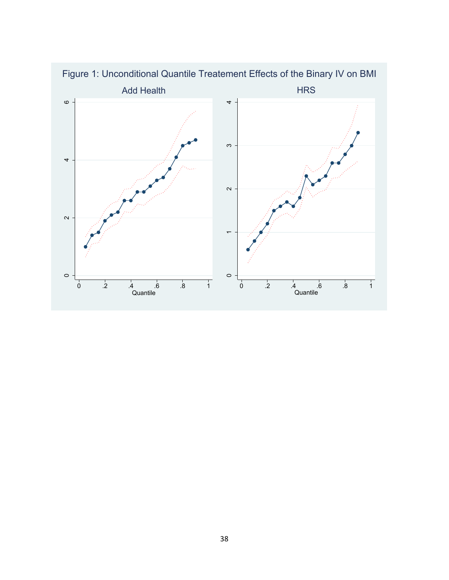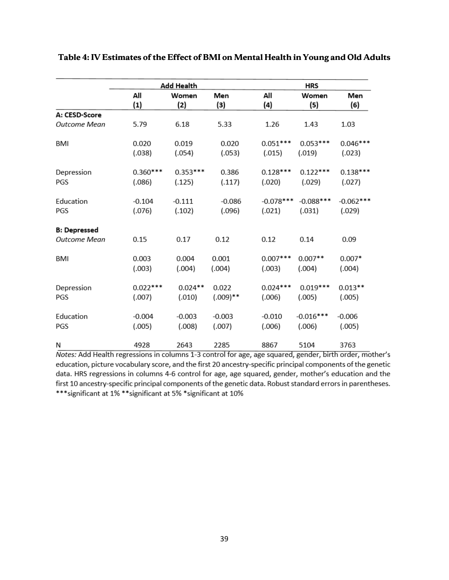|                     |            | Add Health   |            |             | <b>HRS</b>   |             |
|---------------------|------------|--------------|------------|-------------|--------------|-------------|
|                     | All<br>(1) | Women<br>(2) | Men<br>(3) | All<br>(4)  | Women<br>(5) | Men<br>(6)  |
| A: CESD-Score       |            |              |            |             |              |             |
| Outcome Mean        | 5.79       | 6.18         | 5.33       | 1.26        | 1.43         | 1.03        |
| BMI                 | 0.020      | 0.019        | 0.020      | $0.051***$  | $0.053***$   | $0.046***$  |
|                     | (.038)     | (.054)       | (.053)     | (.015)      | (.019)       | (.023)      |
| Depression          | $0.360***$ | $0.353***$   | 0.386      | $0.128***$  | $0.122***$   | $0.138***$  |
| PGS                 | (.086)     | (.125)       | (.117)     | (.020)      | (.029)       | (.027)      |
| Education           | $-0.104$   | $-0.111$     | $-0.086$   | $-0.078***$ | $-0.088***$  | $-0.062***$ |
| PGS                 | (.076)     | (.102)       | (.096)     | (.021)      | (.031)       | (.029)      |
| <b>B: Depressed</b> |            |              |            |             |              |             |
| Outcome Mean        | 0.15       | 0.17         | 0.12       | 0.12        | 0.14         | 0.09        |
| BMI                 | 0.003      | 0.004        | 0.001      | $0.007***$  | $0.007**$    | $0.007*$    |
|                     | (.003)     | (.004)       | (.004)     | (.003)      | (.004)       | (.004)      |
| Depression          | $0.022***$ | $0.024**$    | 0.022      | $0.024***$  | $0.019***$   | $0.013**$   |
| PGS                 | (.007)     | (.010)       | $(.009)**$ | (.006)      | (.005)       | (.005)      |
| Education           | $-0.004$   | $-0.003$     | $-0.003$   | $-0.010$    | $-0.016***$  | $-0.006$    |
| PGS                 | (.005)     | (.008)       | (.007)     | (.006)      | (.006)       | (.005)      |
| Ν                   | 4928       | 2643         | 2285       | 8867        | 5104         | 3763        |

# **Table 4: IV Estimates of the Effect of BMI on Mental Health in Young and Old Adults**

Notes: Add Health regressions in columns 1-3 control for age, age squared, gender, birth order, mother's education, picture vocabulary score, and the first 20 ancestry-specific principal components of the genetic data. HRS regressions in columns 4-6 control for age, age squared, gender, mother's education and the first 10 ancestry-specific principal components of the genetic data. Robust standard errors in parentheses. \*\*\* significant at 1% \*\* significant at 5% \* significant at 10%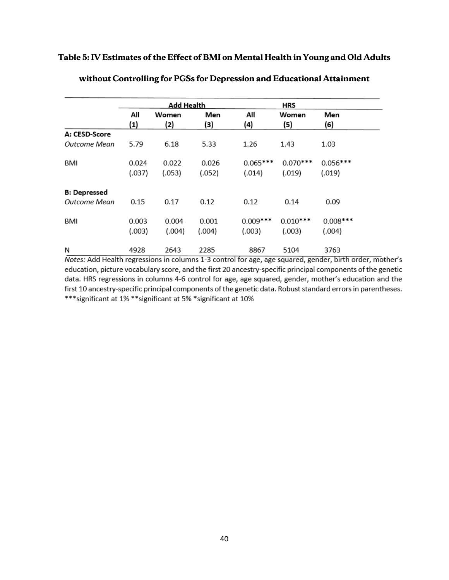# **Table 5: IV Estimates of the Effect of BMI on Mental Health in Young and Old Adults**

|                     |            | Add Health   |            |            | <b>HRS</b>   |            |  |  |
|---------------------|------------|--------------|------------|------------|--------------|------------|--|--|
|                     | All<br>(1) | Women<br>(2) | Men<br>(3) | All<br>(4) | Women<br>(5) | Men<br>(6) |  |  |
| A: CESD-Score       |            |              |            |            |              |            |  |  |
| Outcome Mean        | 5.79       | 6.18         | 5.33       | 1.26       | 1.43         | 1.03       |  |  |
| BMI                 | 0.024      | 0.022        | 0.026      | $0.065***$ | $0.070***$   | $0.056***$ |  |  |
|                     | (.037)     | (.053)       | (.052)     | (.014)     | (.019)       | (.019)     |  |  |
| <b>B: Depressed</b> |            |              |            |            |              |            |  |  |
| <b>Outcome Mean</b> | 0.15       | 0.17         | 0.12       | 0.12       | 0.14         | 0.09       |  |  |
| BMI                 | 0.003      | 0.004        | 0.001      | $0.009***$ | $0.010***$   | $0.008***$ |  |  |
|                     | (.003)     | (.004)       | (.004)     | (.003)     | (.003)       | (.004)     |  |  |
| N                   | 4928       | 2643         | 2285       | 8867       | 5104         | 3763       |  |  |

# **without Controlling for PGSs for Depression and Educational Attainment**

Notes: Add Health regressions in columns 1-3 control for age, age squared, gender, birth order, mother's education, picture vocabulary score, and the first 20 ancestry-specific principal components of the genetic data. HRS regressions in columns 4-6 control for age, age squared, gender, mother's education and the first 10 ancestry-specific principal components of the genetic data. Robust standard errors in parentheses. \*\*\* significant at 1% \*\* significant at 5% \* significant at 10%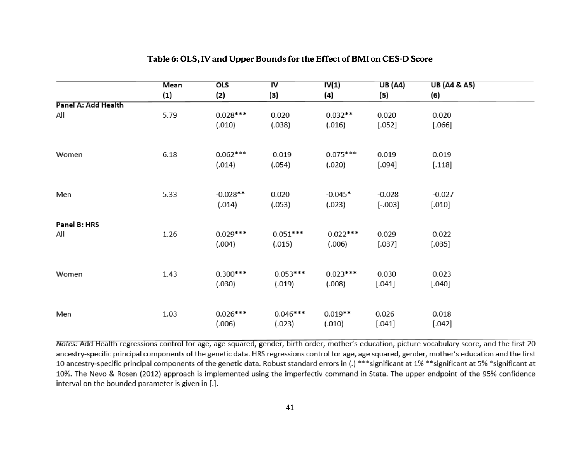|                     | Mean<br>(1) | <b>OLS</b><br>(2) | $\overline{N}$<br>(3) | IV(1)<br>(4) | UB(A4)<br>(5) | <b>UB</b> (A4 & A5)<br>(6) |  |
|---------------------|-------------|-------------------|-----------------------|--------------|---------------|----------------------------|--|
| Panel A: Add Health |             |                   |                       |              |               |                            |  |
| All                 | 5.79        | $0.028***$        | 0.020                 | $0.032**$    | 0.020         | 0.020                      |  |
|                     |             | (.010)            | (.038)                | (.016)       | $[.052]$      | $[.066]$                   |  |
| Women               | 6.18        | $0.062***$        | 0.019                 | $0.075***$   | 0.019         | 0.019                      |  |
|                     |             | (.014)            | (.054)                | (.020)       | [.094]        | $[.118]$                   |  |
|                     |             |                   |                       |              |               |                            |  |
| Men                 | 5.33        | $-0.028**$        | 0.020                 | $-0.045*$    | $-0.028$      | $-0.027$                   |  |
|                     |             | (.014)            | (.053)                | (.023)       | $[-.003]$     | $[.010]$                   |  |
| Panel B: HRS        |             |                   |                       |              |               |                            |  |
| All                 | 1.26        | $0.029***$        | $0.051***$            | $0.022***$   | 0.029         | 0.022                      |  |
|                     |             | (.004)            | (.015)                | (.006)       | [.037]        | [.035]                     |  |
| Women               | 1.43        | $0.300***$        | $0.053***$            | $0.023***$   | 0.030         | 0.023                      |  |
|                     |             | (.030)            | (.019)                | (.008)       | $[.041]$      | $[.040]$                   |  |
|                     |             |                   |                       |              |               |                            |  |
| Men                 | 1.03        | $0.026***$        | $0.046***$            | $0.019**$    | 0.026         | 0.018                      |  |
|                     |             | (.006)            | (.023)                | (.010)       | $[.041]$      | $[.042]$                   |  |
|                     |             |                   |                       |              |               |                            |  |

# **Table 6: OLS, IV and Upper Bounds for the Effect of BMI on CES-D Score**

Notes: Add Health regressions control for age, age squared, gender, birth order, mother's education, picture vocabulary score, and the first 20 ancestry-specific principal components of the genetic data. HRS regressions control for age, age squared, gender, mother's education and the first 10 ancestry-specific principal components of the genetic data. Robust standard errors in (.) \*\*\*significant at 1% \*\*significant at 5% \*significant at 10%. The Nevo & Rosen (2012) approach is implemented using the imperfectiv command in Stata. The upper endpoint of the 95% confidence interval on the bounded parameter is given in [.].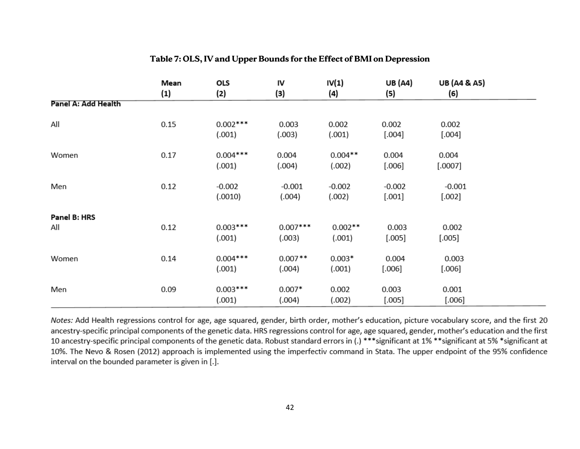|                     | Mean<br>$\left( 1\right)$ | OLS<br>(2)           | IV<br>(3)            | IV(1)<br>(4)        | <b>UB</b> (A4)<br>(5) | <b>UB (A4 &amp; A5)</b><br>(6) |
|---------------------|---------------------------|----------------------|----------------------|---------------------|-----------------------|--------------------------------|
| Panel A: Add Health |                           |                      |                      |                     |                       |                                |
| All                 | 0.15                      | $0.002***$<br>(.001) | 0.003<br>(.003)      | 0.002<br>(.001)     | 0.002<br>$[.004]$     | 0.002<br>$[.004]$              |
| Women               | 0.17                      | $0.004***$<br>(.001) | 0.004<br>(.004)      | $0.004**$<br>(.002) | 0.004<br>$[.006]$     | 0.004<br>$[.0007]$             |
| Men                 | 0.12                      | $-0.002$<br>(.0010)  | $-0.001$<br>(.004)   | $-0.002$<br>(.002)  | $-0.002$<br>$[.001]$  | $-0.001$<br>$[.002]$           |
| Panel B: HRS<br>All | 0.12                      | $0.003***$<br>(.001) | $0.007***$<br>(.003) | $0.002**$<br>(.001) | 0.003<br>$[.005]$     | 0.002<br>[.005]                |
| Women               | 0.14                      | $0.004***$<br>(.001) | $0.007**$<br>(.004)  | $0.003*$<br>(.001)  | 0.004<br>[.006]       | 0.003<br>$[.006]$              |
| Men                 | 0.09                      | $0.003***$<br>(.001) | $0.007*$<br>(.004)   | 0.002<br>(.002)     | 0.003<br>$[.005]$     | 0.001<br>$[.006]$              |

# **Table 7: OLS, IV and Upper Bounds for the Effect of BMI on Depression**

Notes: Add Health regressions control for age, age squared, gender, birth order, mother's education, picture vocabulary score, and the first 20 ancestry-specific principal components of the genetic data. HRS regressions control for age, age squared, gender, mother's education and the first 10 ancestry-specific principal components of the genetic data. Robust standard errors in (.) \*\*\*significant at 1% \*\*significant at 5% \*significant at 10%. The Nevo & Rosen (2012) approach is implemented using the imperfectiv command in Stata. The upper endpoint of the 95% confidence interval on the bounded parameter is given in [.].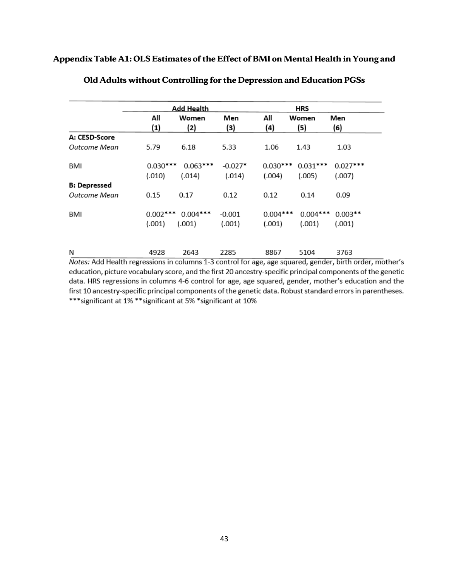# **Appendix Table A1: OLS Estimates of the Effect of BMI on Mental Health in Young and**

|                     |            | Add Health |           |            | HRS        |            |
|---------------------|------------|------------|-----------|------------|------------|------------|
|                     | All        | Women      | Men       | All        | Women      | Men        |
|                     | (1)        | (2)        | (3)       | (4)        | (5)        | (6)        |
| A: CESD-Score       |            |            |           |            |            |            |
| Outcome Mean        | 5.79       | 6.18       | 5.33      | 1.06       | 1.43       | 1.03       |
| BMI                 | $0.030***$ | $0.063***$ | $-0.027*$ | $0.030***$ | $0.031***$ | $0.027***$ |
|                     | (.010)     | (.014)     | (.014)    | (.004)     | (.005)     | (.007)     |
| <b>B: Depressed</b> |            |            |           |            |            |            |
| Outcome Mean        | 0.15       | 0.17       | 0.12      | 0.12       | 0.14       | 0.09       |
| BMI                 | $0.002***$ | $0.004***$ | $-0.001$  | $0.004***$ | $0.004***$ | $0.003**$  |
|                     | (.001)     | (.001)     | (.001)    | (.001)     | (.001)     | (.001)     |
|                     |            |            |           |            |            |            |
| N                   | 4928       | 2643       | 2285      | 8867       | 5104       | 3763       |

# **Old Adults without Controlling for the Depression and Education PGSs**

Notes: Add Health regressions in columns 1-3 control for age, age squared, gender, birth order, mother's education, picture vocabulary score, and the first 20 ancestry-specific principal components of the genetic data. HRS regressions in columns 4-6 control for age, age squared, gender, mother's education and the first 10 ancestry-specific principal components of the genetic data. Robust standard errors in parentheses. \*\*\* significant at 1% \*\* significant at 5% \* significant at 10%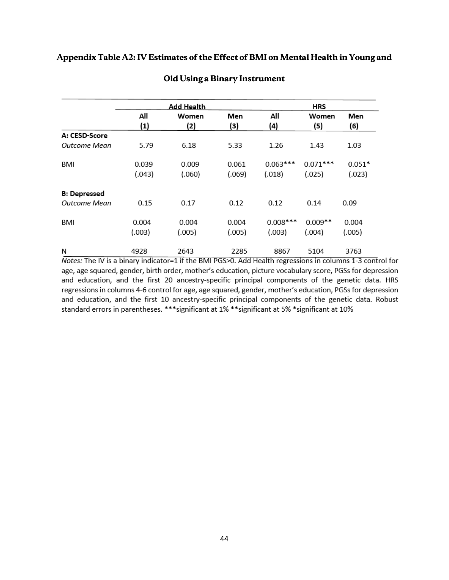# **Appendix Table A2: IV Estimates of the Effect of BMI on Mental Health in Young and**

|                     |            | Add Health   |            | <b>HRS</b> |              |            |  |
|---------------------|------------|--------------|------------|------------|--------------|------------|--|
|                     | All<br>(1) | Women<br>(2) | Men<br>(3) | All<br>(4) | Women<br>(5) | Men<br>(6) |  |
| A: CESD-Score       |            |              |            |            |              |            |  |
| Outcome Mean        | 5.79       | 6.18         | 5.33       | 1.26       | 1.43         | 1.03       |  |
| BMI                 | 0.039      | 0.009        | 0.061      | $0.063***$ | $0.071***$   | $0.051*$   |  |
|                     | (.043)     | (.060)       | (.069)     | (.018)     | (.025)       | (.023)     |  |
| <b>B: Depressed</b> |            |              |            |            |              |            |  |
| Outcome Mean        | 0.15       | 0.17         | 0.12       | 0.12       | 0.14         | 0.09       |  |
| BMI                 | 0.004      | 0.004        | 0.004      | $0.008***$ | $0.009**$    | 0.004      |  |
|                     | (.003)     | (.005)       | (.005)     | (.003)     | (.004)       | (.005)     |  |
| N                   | 4928       | 2643         | 2285       | 8867       | 5104         | 3763       |  |

### **Old Using a Binary Instrument**

Notes: The IV is a binary indicator=1 if the BMI PGS>0. Add Health regressions in columns 1-3 control for age, age squared, gender, birth order, mother's education, picture vocabulary score, PGSs for depression and education, and the first 20 ancestry-specific principal components of the genetic data. HRS regressions in columns 4-6 control for age, age squared, gender, mother's education, PGSs for depression and education, and the first 10 ancestry-specific principal components of the genetic data. Robust standard errors in parentheses. \*\*\* significant at 1% \*\* significant at 5% \* significant at 10%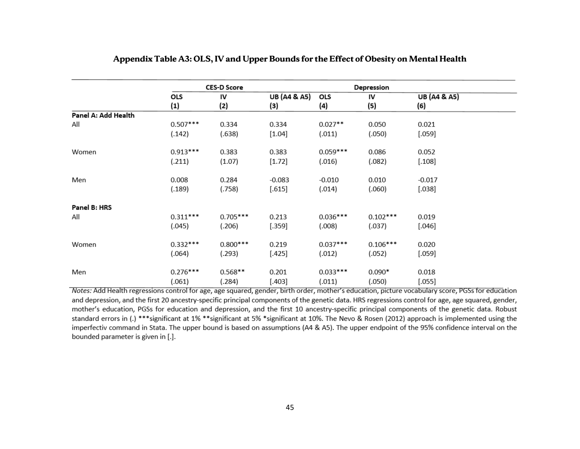|                     |            | <b>CES-D Score</b> |                         | Depression |            |                     |  |
|---------------------|------------|--------------------|-------------------------|------------|------------|---------------------|--|
|                     | OLS        | IV                 | <b>UB (A4 &amp; A5)</b> | OLS        | IV         | <b>UB</b> (A4 & A5) |  |
|                     | (1)        | (2)                | (3)                     | (4)        | (5)        | (6)                 |  |
| Panel A: Add Health |            |                    |                         |            |            |                     |  |
| All                 | $0.507***$ | 0.334              | 0.334                   | $0.027**$  | 0.050      | 0.021               |  |
|                     | (.142)     | (.638)             | $[1.04]$                | (.011)     | (.050)     | [.059]              |  |
| Women               | $0.913***$ | 0.383              | 0.383                   | $0.059***$ | 0.086      | 0.052               |  |
|                     | (.211)     | (1.07)             | $[1.72]$                | (.016)     | (.082)     | [.108]              |  |
| Men                 | 0.008      | 0.284              | $-0.083$                | $-0.010$   | 0.010      | $-0.017$            |  |
|                     | (.189)     | (.758)             | [.615]                  | (.014)     | (.060)     | [.038]              |  |
| Panel B: HRS        |            |                    |                         |            |            |                     |  |
| All                 | $0.311***$ | $0.705***$         | 0.213                   | $0.036***$ | $0.102***$ | 0.019               |  |
|                     | (.045)     | (.206)             | [.359]                  | (.008)     | (.037)     | $[.046]$            |  |
| Women               | $0.332***$ | $0.800***$         | 0.219                   | $0.037***$ | $0.106***$ | 0.020               |  |
|                     | (.064)     | (.293)             | [.425]                  | (.012)     | (.052)     | [.059]              |  |
| Men                 | $0.276***$ | $0.568**$          | 0.201                   | $0.033***$ | $0.090*$   | 0.018               |  |
|                     | (.061)     | (.284)             | $[.403]$                | (.011)     | (.050)     | [.055]              |  |

# **Appendix Table A3: OLS, IV and Upper Bounds for the Effect of Obesity on Mental Health**

Notes: Add Health regressions control for age, age squared, gender, birth order, mother's education, picture vocabulary score, PGSs for education and depression, and the first 20 ancestry-specific principal components of the genetic data. HRS regressions control for age, age squared, gender, mother's education, PGSs for education and depression, and the first 10 ancestry-specific principal components of the genetic data. Robust standard errors in (.) \*\*\*significant at 1% \*\*significant at 5% \*significant at 10%. The Nevo & Rosen (2012) approach is implemented using the imperfectiv command in Stata. The upper bound is based on assumptions (A4 & A5). The upper endpoint of the 95% confidence interval on the bounded parameter is given in [.].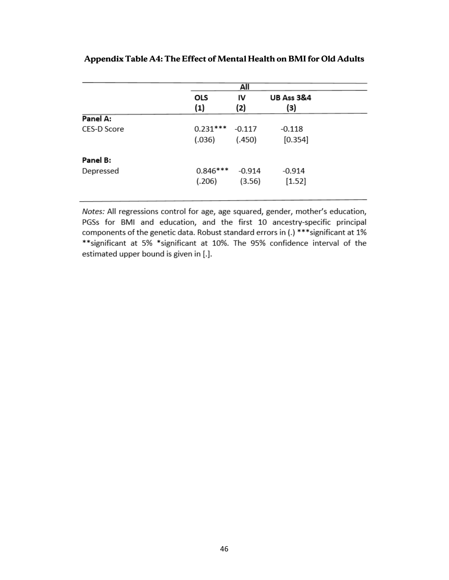|             | OLS<br>(1) | IV<br>(2) | <b>UB Ass 3&amp;4</b><br>(3) |  |
|-------------|------------|-----------|------------------------------|--|
| Panel A:    |            |           |                              |  |
| CES-D Score | $0.231***$ | $-0.117$  | $-0.118$                     |  |
|             | (.036)     | (.450)    | [0.354]                      |  |
| Panel B:    |            |           |                              |  |
| Depressed   | $0.846***$ | $-0.914$  | -0.914                       |  |
|             | (.206)     | (3.56)    | $[1.52]$                     |  |

**Appendix Table A4: The Effect of Mental Health on BMI for Old Adults**

Notes: All regressions control for age, age squared, gender, mother's education, PGSs for BMI and education, and the first 10 ancestry-specific principal components of the genetic data. Robust standard errors in (.) \*\*\* significant at 1% \*\*significant at 5% \*significant at 10%. The 95% confidence interval of the estimated upper bound is given in [.].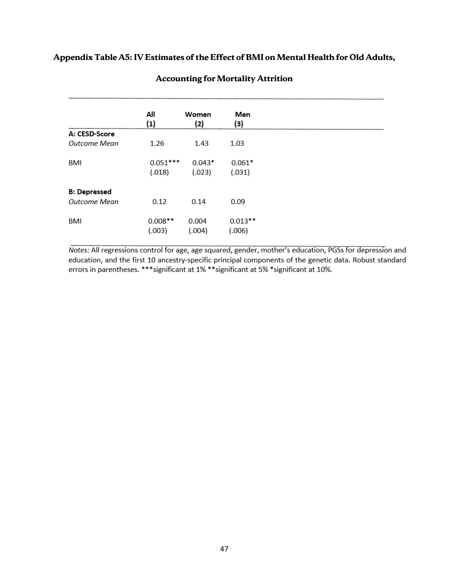# **Appendix Table A5: IV Estimates of the Effect of BMI on Mental Health for Old Adults,**

|                     | All        | Women    | Men       |
|---------------------|------------|----------|-----------|
|                     | $\bf(1)$   | (2)      | (3)       |
| A: CESD-Score       |            |          |           |
| Outcome Mean        | 1.26       | 1.43     | 1.03      |
|                     |            |          |           |
| BMI                 | $0.051***$ | $0.043*$ | $0.061*$  |
|                     | (.018)     | (.023)   | (.031)    |
|                     |            |          |           |
| <b>B: Depressed</b> |            |          |           |
| <b>Outcome Mean</b> | 0.12       | 0.14     | 0.09      |
|                     |            |          |           |
|                     |            |          |           |
| BMI                 | $0.008**$  | 0.004    | $0.013**$ |
|                     | (.003)     | (.004)   | (.006)    |

# **Accounting for Mortality Attrition**

Notes: All regressions control for age, age squared, gender, mother's education, PGSs for depression and education, and the first 10 ancestry-specific principal components of the genetic data. Robust standard errors in parentheses. \*\*\* significant at 1% \*\* significant at 5% \* significant at 10%.